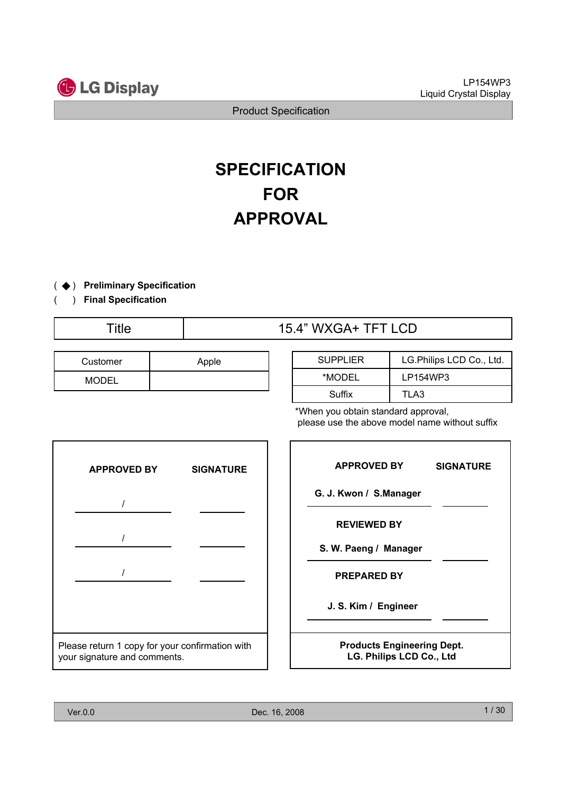

# **SPECIFICATION FOR APPROVAL**

- ( ◆) Preliminary Specification
- ) **Final Specification** (

# Title 15.4" WXGA+ TFT LCD

| Customer     | Apple |
|--------------|-------|
| <b>MODEL</b> |       |

| <b>SUPPLIER</b> | LG.Philips LCD Co., Ltd. |  |  |
|-----------------|--------------------------|--|--|
| *MODEL          | LP154WP3                 |  |  |
| Suffix          | TLA3                     |  |  |

\*When you obtain standard approval, please use the above model name without suffix



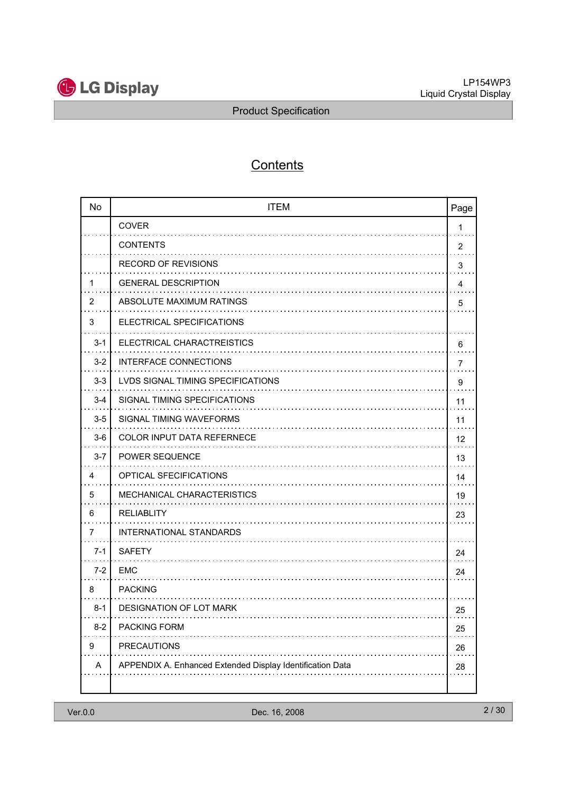

# **Contents**

| <b>No</b> | <b>ITEM</b>                                               | Page           |
|-----------|-----------------------------------------------------------|----------------|
|           | <b>COVER</b>                                              | 1              |
|           | <b>CONTENTS</b>                                           | $\overline{2}$ |
|           | <b>RECORD OF REVISIONS</b>                                | 3              |
| 1         | <b>GENERAL DESCRIPTION</b>                                | 4              |
| 2         | ABSOLUTE MAXIMUM RATINGS                                  | 5              |
| 3         | ELECTRICAL SPECIFICATIONS                                 |                |
| $3 - 1$   | ELECTRICAL CHARACTREISTICS                                | 6              |
| $3 - 2$   | <b>INTERFACE CONNECTIONS</b><br>.                         | 7              |
| $3 - 3$   | LVDS SIGNAL TIMING SPECIFICATIONS                         | 9              |
| $3 - 4$   | SIGNAL TIMING SPECIFICATIONS                              | 11             |
| $3-5$     | SIGNAL TIMING WAVEFORMS                                   | 11             |
| $3-6$     | <b>COLOR INPUT DATA REFERNECE</b>                         | 12             |
| $3 - 7$   | <b>POWER SEQUENCE</b><br>.                                | 13             |
| 4         | OPTICAL SFECIFICATIONS                                    | 14             |
| 5         | <b>MECHANICAL CHARACTERISTICS</b>                         | 19             |
| 6         | <b>RELIABLITY</b>                                         | 23             |
| 7         | <b>INTERNATIONAL STANDARDS</b>                            |                |
| $7 - 1$   | <b>SAFETY</b>                                             | 24             |
| $7-2$     | EMC                                                       | 24             |
| 8         | <b>PACKING</b>                                            |                |
| 8-1       | <b>DESIGNATION OF LOT MARK</b>                            | 25             |
| $8 - 2$   | <b>PACKING FORM</b>                                       | 25             |
| 9         | <b>PRECAUTIONS</b>                                        | 26             |
| A         | APPENDIX A. Enhanced Extended Display Identification Data | 28             |
|           |                                                           |                |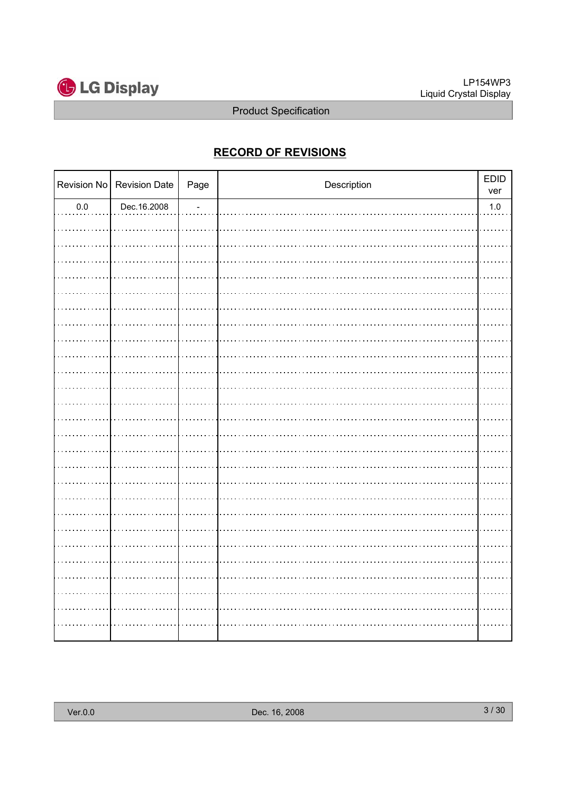

# **RECORD OF REVISIONS**

|         | Revision No Revision Date | Page | Description | EDID<br>ver |
|---------|---------------------------|------|-------------|-------------|
| $0.0\,$ | Dec.16.2008               |      |             | $1.0\,$     |
|         |                           |      |             |             |
|         |                           |      |             |             |
|         |                           |      |             |             |
|         |                           |      |             |             |
|         |                           |      |             |             |
|         |                           |      |             |             |
|         |                           |      |             |             |
|         |                           |      |             |             |
|         |                           |      |             |             |
|         |                           |      |             |             |
|         |                           |      |             |             |
|         |                           |      |             |             |
|         |                           |      |             |             |
|         |                           |      |             |             |
|         |                           |      |             |             |
|         |                           |      |             |             |
|         |                           |      |             |             |
|         |                           |      |             |             |
|         |                           |      |             |             |
|         |                           |      |             |             |
|         |                           |      |             |             |
|         |                           |      |             |             |
|         |                           |      |             |             |
|         |                           |      |             |             |
|         |                           |      |             |             |
|         |                           |      |             |             |
|         |                           |      |             |             |
|         |                           |      |             |             |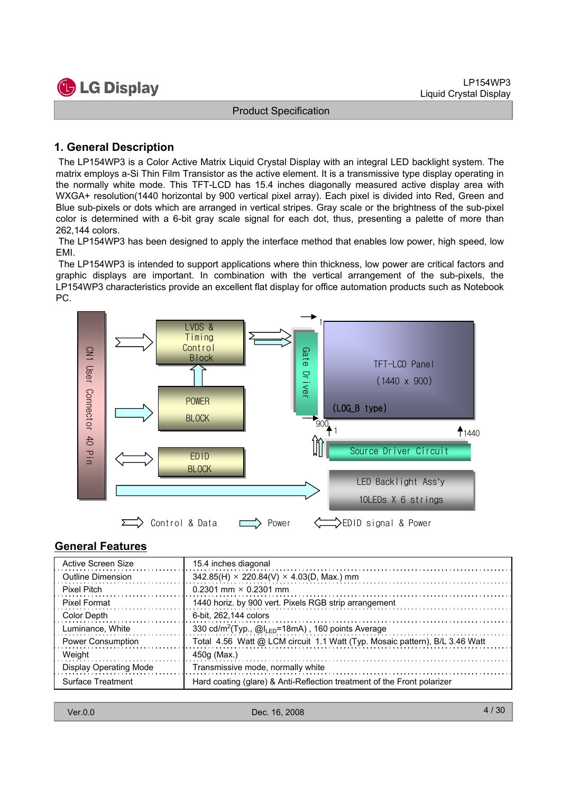

# **1. General Description**

The LP154WP3 is a Color Active Matrix Liquid Crystal Display with an integral LED backlight system. The matrix employs a-Si Thin Film Transistor as the active element. It is a transmissive type display operating in the normally white mode. This TFT-LCD has 15.4 inches diagonally measured active display area with WXGA+ resolution(1440 horizontal by 900 vertical pixel array). Each pixel is divided into Red, Green and Blue sub-pixels or dots which are arranged in vertical stripes. Gray scale or the brightness of the sub-pixel color is determined with a 6-bit gray scale signal for each dot, thus, presenting a palette of more than 262,144 colors.

The LP154WP3 has been designed to apply the interface method that enables low power, high speed, low EMI.

The LP154WP3 is intended to support applications where thin thickness, low power are critical factors and graphic displays are important. In combination with the vertical arrangement of the sub-pixels, the LP154WP3 characteristics provide an excellent flat display for office automation products such as Notebook PC.



#### **General Features**

| Active Screen Size            | 15.4 inches diagonal                                                        |
|-------------------------------|-----------------------------------------------------------------------------|
| Outline Dimension             | $342.85(H) \times 220.84(V) \times 4.03(D, Max.)$ mm                        |
| Pixel Pitch                   | 0.2301 mm $\times$ 0.2301 mm                                                |
| Pixel Format                  | 1440 horiz. by 900 vert. Pixels RGB strip arrangement                       |
| Color Depth                   | 6-bit. 262,144 colors                                                       |
| Luminance, White              | 330 cd/m <sup>2</sup> (Typ., @I <sub>LED</sub> =18mA), 160 points Average   |
| <b>Power Consumption</b>      | Total 4.56 Watt @ LCM circuit 1.1 Watt (Typ. Mosaic pattern), B/L 3.46 Watt |
| Weight                        | 450g (Max.)                                                                 |
| <b>Display Operating Mode</b> | Transmissive mode, normally white                                           |
| Surface Treatment             | Hard coating (glare) & Anti-Reflection treatment of the Front polarizer     |

| Ver.0.0 |  |  |
|---------|--|--|
|         |  |  |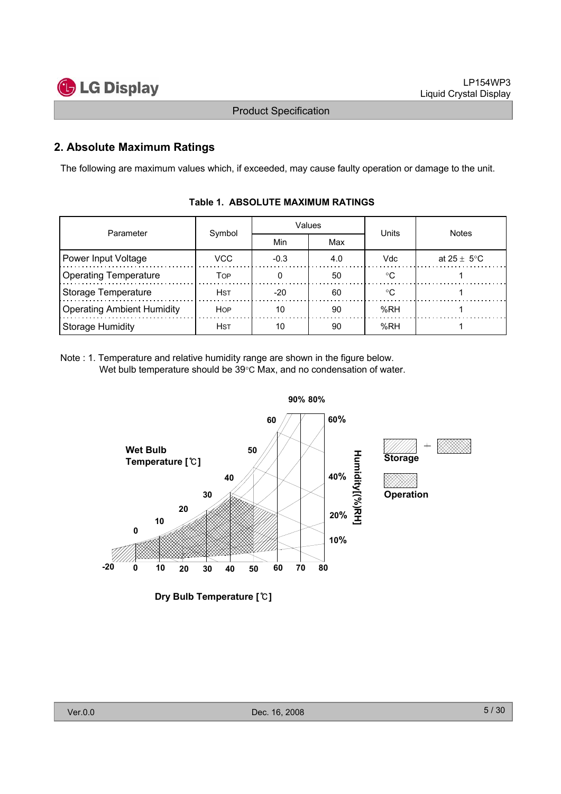

# **2. Absolute Maximum Ratings**

The following are maximum values which, if exceeded, may cause faulty operation or damage to the unit.

| Parameter                         | Symbol      | Values |     | Units      | <b>Notes</b>            |  |
|-----------------------------------|-------------|--------|-----|------------|-------------------------|--|
|                                   |             | Min    | Max |            |                         |  |
| Power Input Voltage               | VCC.        | $-0.3$ | 4.0 | <b>Vdc</b> | at $25 \pm 5^{\circ}$ C |  |
| <b>Operating Temperature</b>      | Тор         |        | 50  | ∘∩         |                         |  |
| Storage Temperature               | <b>HST</b>  | $-20$  | 60  | ∘∩         |                         |  |
| <b>Operating Ambient Humidity</b> | <b>HOP</b>  | 10     | 90  | %RH        |                         |  |
| Storage Humidity                  | <b>H</b> ST | 10     | 90  | %RH        |                         |  |

#### **Table 1. ABSOLUTE MAXIMUM RATINGS**

Note : 1. Temperature and relative humidity range are shown in the figure below. Wet bulb temperature should be  $39^{\circ}$ C Max, and no condensation of water.



**Dry Bulb Temperature []**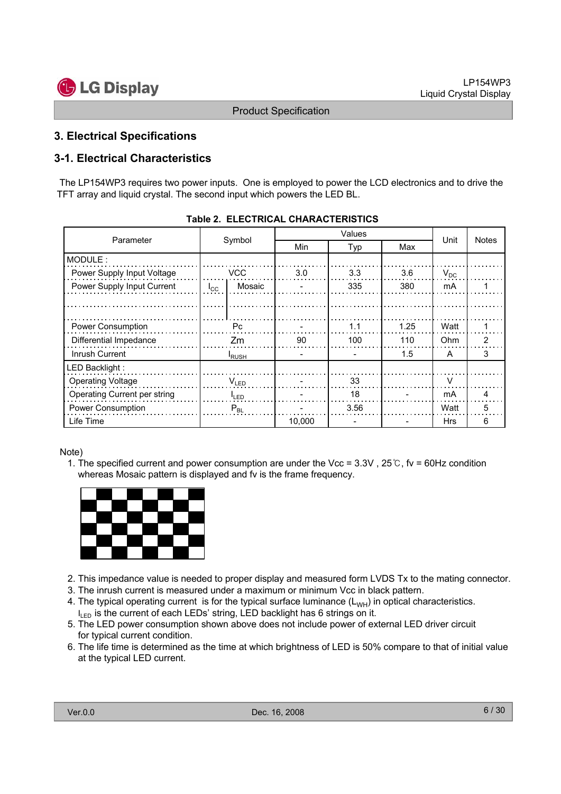

# **3. Electrical Specifications**

# **3-1. Electrical Characteristics**

The LP154WP3 requires two power inputs. One is employed to power the LCD electronics and to drive the TFT array and liquid crystal. The second input which powers the LED BL.

| Parameter                    | Symbol       |               | <b>Min</b> | Typ  | Max  | Unit       | <b>Notes</b> |
|------------------------------|--------------|---------------|------------|------|------|------------|--------------|
| MODULE:                      |              |               |            |      |      |            |              |
| Power Supply Input Voltage   |              | VCC           | 3.0        | 3.3  | 3.6  | $V_{DC}$   |              |
| Power Supply Input Current   | $I_{\rm CC}$ | Mosaic        |            | 335  | 380  | mA         |              |
|                              |              |               |            |      |      |            |              |
|                              |              |               |            |      |      |            |              |
| Power Consumption            |              | Pc.           |            | 1.1  | 1.25 | Watt       |              |
| Differential Impedance       |              | Zm            | 90         | 100  | 110  | Ohm        | 2            |
| Inrush Current               |              | <b>I</b> RUSH |            |      | 1.5  | A          | 3            |
| LED Backlight:               |              |               |            |      |      |            |              |
| <b>Operating Voltage</b>     |              | $V_{LED}$     |            | 33   |      |            |              |
| Operating Current per string | $I_{LED}$    |               |            | 18   |      | mA         | 4            |
| <b>Power Consumption</b>     | $P_{BL}$     |               |            | 3.56 |      | Watt       | 5            |
| Life Time                    |              |               | 10.000     |      |      | <b>Hrs</b> | 6            |

#### Note)

1. The specified current and power consumption are under the Vcc =  $3.3V$ ,  $25^\circ$ C, fv = 60Hz condition whereas Mosaic pattern is displayed and fv is the frame frequency.



- 2. This impedance value is needed to proper display and measured form LVDS Tx to the mating connector.
- 3. The inrush current is measured under a maximum or minimum Vcc in black pattern.
- 4. The typical operating current is for the typical surface luminance  $(L_{WH})$  in optical characteristics.  $I_{LED}$  is the current of each LEDs' string, LED backlight has 6 strings on it.
- 5. The LED power consumption shown above does not include power of external LED driver circuit for typical current condition.
- 6. The life time is determined as the time at which brightness of LED is 50% compare to that of initial value at the typical LED current.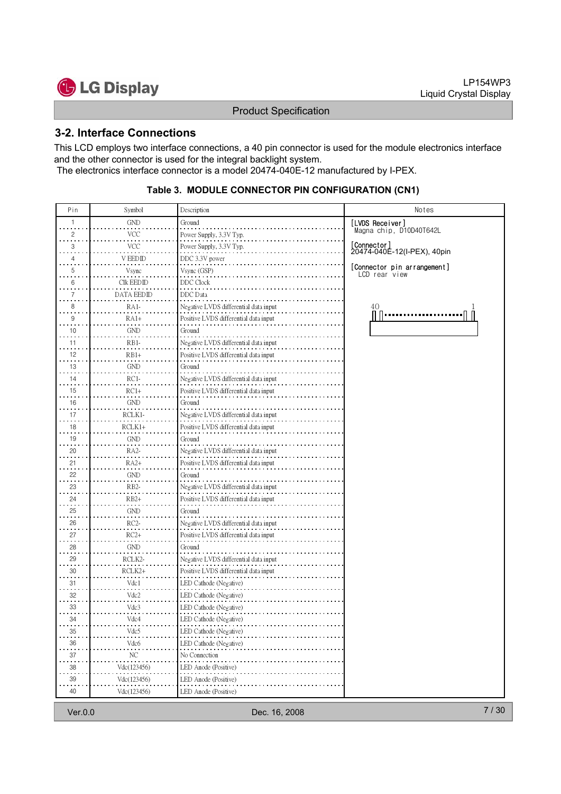

#### **3-2. Interface Connections**

This LCD employs two interface connections, a 40 pin connector is used for the module electronics interface and the other connector is used for the integral backlight system. The electronics interface connector is a model 20474-040E-12 manufactured by I-PEX.

#### **Table 3. MODULE CONNECTOR PIN CONFIGURATION (CN1)**

| Pin             | Symbol            | Description                           | Notes                                        |
|-----------------|-------------------|---------------------------------------|----------------------------------------------|
| $\mathbf{1}$    | <b>GND</b>        | Ground                                | [LVDS Receiver]                              |
| 2               | <b>VCC</b>        | Power Supply, 3.3V Typ.               | Magna chip, D10D40T642L                      |
| 3               | VCC               | Power Supply, 3.3V Typ.               | [Connector]<br>20474-040E-12(I-PEX), 40pin   |
| 4               | V EEDID           | DDC 3.3V power                        |                                              |
| 5               | Vsync             | Vsync (GSP)                           | [Connector pin arrangement]<br>LCD rear view |
| 6               | Clk EEDID         | DDC Clock                             |                                              |
| 7               | <b>DATA EEDID</b> | <b>DDC</b> Data                       |                                              |
| 8               | RA1-              | Negative LVDS differential data input | 40                                           |
| 9               | $RA1+$            | Positive LVDS differential data input |                                              |
| 10              | <b>GND</b>        | Ground                                |                                              |
| 11              | RB1-              | Negative LVDS differential data input |                                              |
| 12              | RB1+              | Positive LVDS differential data input |                                              |
| 13              | <b>GND</b>        | Ground                                |                                              |
| 14              | $RC1-$            | Negative LVDS differential data input |                                              |
| 15              | $RC1+$            | Positive LVDS differential data input |                                              |
| 16              | <b>GND</b>        | Ground                                |                                              |
| 17              | RCLK1-            | Negative LVDS differential data input |                                              |
| 18              | $RCLK1+$          | Positive LVDS differential data input |                                              |
| $\cdot$ .<br>19 | GND               | Ground                                |                                              |
| 20              | RA2-              | Negative LVDS differential data input |                                              |
| 21              | RA2+              | Positive LVDS differential data input |                                              |
| 22              | <b>GND</b>        | Ground                                |                                              |
| 23              | RB <sub>2</sub> - | Negative LVDS differential data input |                                              |
| 24              | $RB2+$            | Positive LVDS differential data input |                                              |
| 25              | <b>GND</b>        | Ground                                |                                              |
| 26              | $RC2-$            | Negative LVDS differential data input |                                              |
| $\sim$<br>27    | $RC2+$            | Positive LVDS differential data input |                                              |
| 28              | <b>GND</b>        | Ground                                |                                              |
| 29              | RCLK2-            | Negative LVDS differential data input |                                              |
| 30              | RCLK2+            | Positive LVDS differential data input |                                              |
| 31              | Vdc1              | LED Cathode (Negative)                |                                              |
| 32              | Vdc2              | LED Cathode (Negative)                |                                              |
| 33              | Vdc3              | LED Cathode (Negative)                |                                              |
| 34              | Vdc4              | LED Cathode (Negative)                |                                              |
| $35\,$          | Vdc5              | LED Cathode (Negative)                |                                              |
| 36              | Vdc <sub>6</sub>  | LED Cathode (Negative)                |                                              |
| 37              | NС                | No Connection                         |                                              |
| $38\,$          | Vdc(123456)       | LED Anode (Positive)                  |                                              |
| 39              | Vdc(123456)       | LED Anode (Positive)                  |                                              |
| $40\,$          | Vdc(123456)       | LED Anode (Positive)                  |                                              |
|                 |                   |                                       |                                              |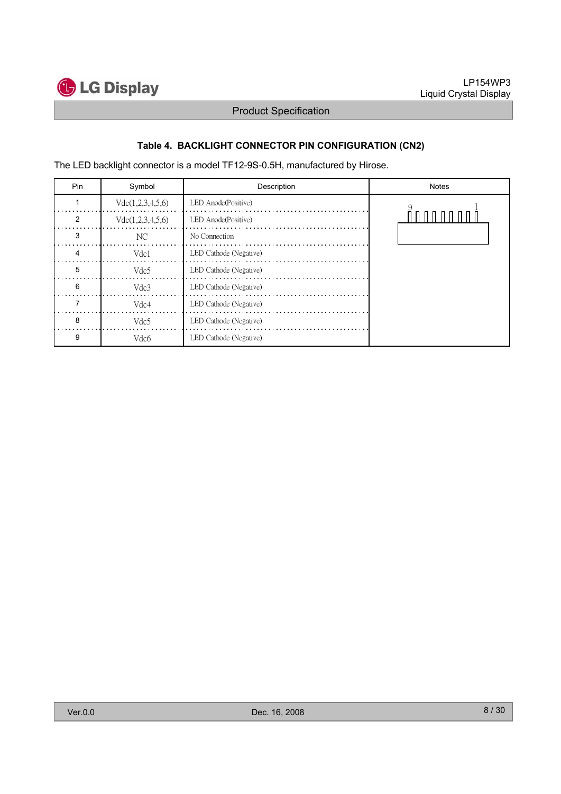

# **Table 4. BACKLIGHT CONNECTOR PIN CONFIGURATION (CN2)**

The LED backlight connector is a model TF12-9S-0.5H, manufactured by Hirose.

| Pin | Symbol           | Description            | <b>Notes</b> |
|-----|------------------|------------------------|--------------|
|     | Vdc(1,2,3,4,5,6) | LED Anode(Positive)    |              |
| 2   | Vdc(1,2,3,4,5,6) | LED Anode(Positive)    | .            |
| З   | NС               | No Connection          |              |
| 4   | Vdc1             | LED Cathode (Negative) |              |
| 5   | Vdc <sub>5</sub> | LED Cathode (Negative) |              |
| 6   | Vdc3             | LED Cathode (Negative) |              |
|     | Vdc4             | LED Cathode (Negative) |              |
| 8   | Vdc <sub>5</sub> | LED Cathode (Negative) |              |
| 9   | Vdc <sub>6</sub> | LED Cathode (Negative) |              |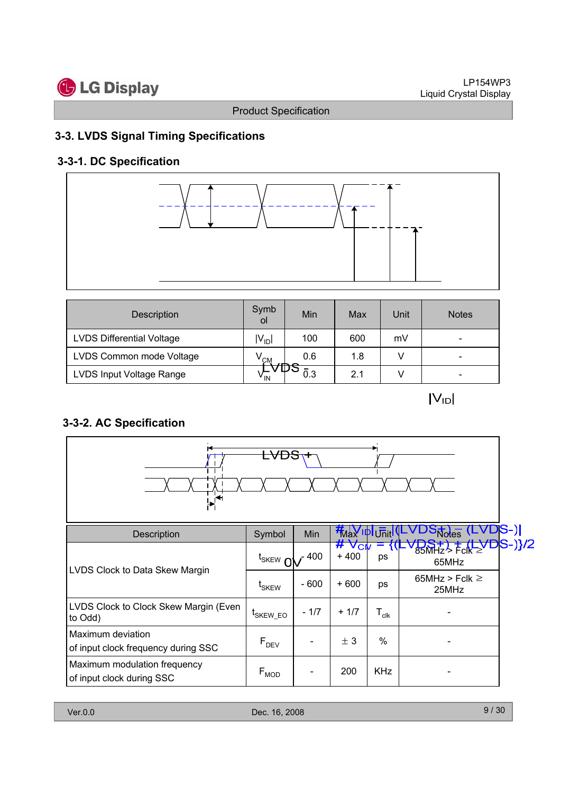

# **3-3. LVDS Signal Timing Specifications**

# **3-3-1. DC Specification**



| Description                      | Symb<br>οl      | Min                  | Max | Unit | <b>Notes</b>             |
|----------------------------------|-----------------|----------------------|-----|------|--------------------------|
| <b>LVDS Differential Voltage</b> | $ V_{ D} $      | 100                  | 600 | mV   | -                        |
| LVDS Common mode Voltage         | $V^{\text{CM}}$ | 0.6<br>$\rightarrow$ | 1.8 |      | $\overline{\phantom{0}}$ |
| LVDS Input Voltage Range         | v <sub>IN</sub> | ັ∨ ⊔∕ ວ<br>0.3       | 2.1 |      | $\overline{\phantom{0}}$ |

 $|V_{ID}|$ 

# **3-3-2. AC Specification**



| Description                                               | Symbol                         | Min    | <b>KNaY IDI Unit IVL</b> |                             | VDS <sub>Notes</sub> (LVDS-)            |
|-----------------------------------------------------------|--------------------------------|--------|--------------------------|-----------------------------|-----------------------------------------|
|                                                           | $t_{SKEW}$ $\alpha$            | 400 -  | $#V$ Cr<br>$+400$        | ps                          | <del>1DS+) + (LVD</del> S-)}/2<br>65MHz |
| LVDS Clock to Data Skew Margin                            | $\mathfrak{r}_{\mathsf{SKEW}}$ | $-600$ | $+600$                   | ps                          | 65MHz > Fclk $\geq$<br>25MHz            |
| LVDS Clock to Clock Skew Margin (Even<br>to Odd)          | <sup>L</sup> SKEW EO           | $-1/7$ | $+1/7$                   | $\mathsf{T}_{\mathsf{clk}}$ |                                         |
| Maximum deviation<br>of input clock frequency during SSC  | $F_{DEV}$                      |        | ± 3                      | $\%$                        |                                         |
| Maximum modulation frequency<br>of input clock during SSC | $F_{MOD}$                      |        | 200                      | <b>KHz</b>                  |                                         |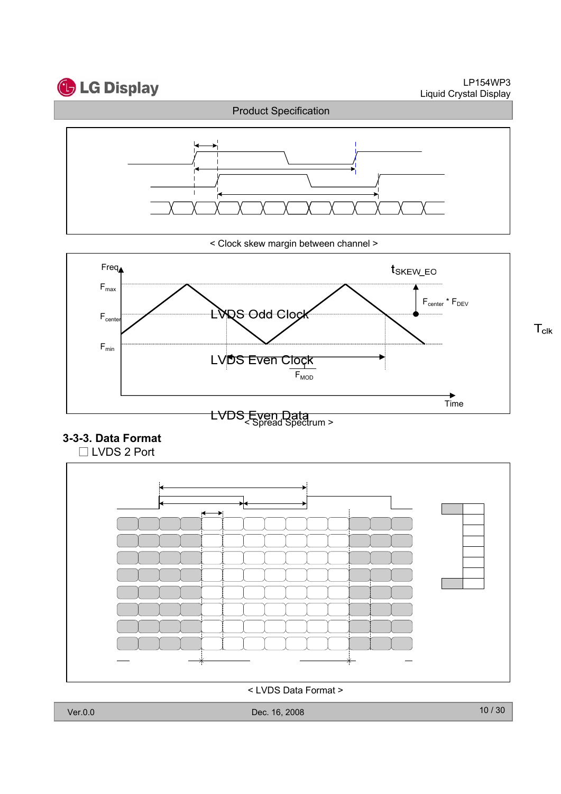

LP154WP3 Liquid Crystal Display

 $T_{\text{clk}}$ 



< Clock skew margin between channel >



# **3-3-3. Data Format**



< LVDS Data Format >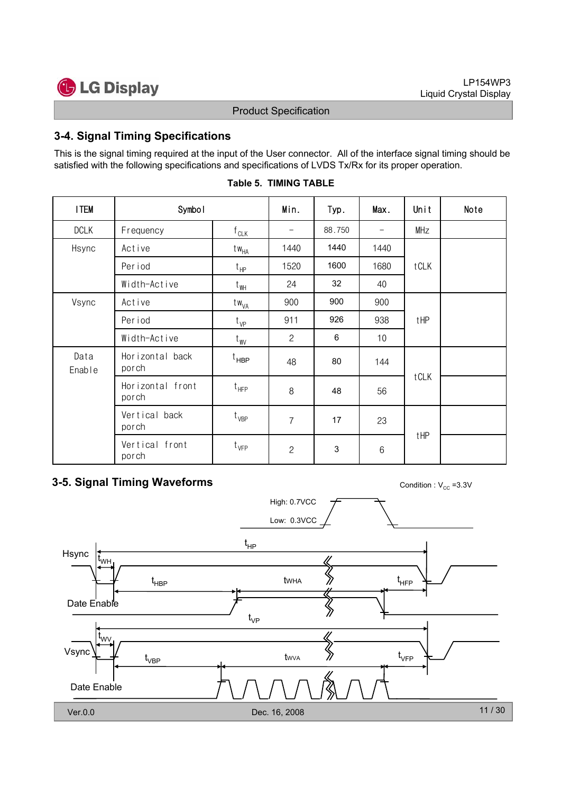

# **3-4. Signal Timing Specifications**

This is the signal timing required at the input of the User connector. All of the interface signal timing should be satisfied with the following specifications and specifications of LVDS Tx/Rx for its proper operation.

| <b>ITEM</b>            | Symbol                    | Min.             | Typ.              | Max.   | Unit              | Note |  |
|------------------------|---------------------------|------------------|-------------------|--------|-------------------|------|--|
| <b>DCLK</b>            | Frequency                 | $f_{CLK}$        | $\qquad \qquad -$ | 88.750 | $\qquad \qquad -$ | MHz  |  |
| Hsync                  | Active                    | tw <sub>HA</sub> | 1440              | 1440   | 1440              |      |  |
|                        | Period                    | $t_{HP}$         | 1520              | 1600   | 1680              | tCLK |  |
|                        | Width-Active              | $t_{WH}$         | 24                | 32     | 40                |      |  |
| Vsync                  | Active                    | tw <sub>VA</sub> | 900               | 900    | 900               |      |  |
|                        | Per iod                   | $t_{VP}$         | 911               | 926    | 938               | tHP  |  |
|                        | Width-Active              | $t_{\text{W}}$   | $\overline{2}$    | 6      | 10                |      |  |
| Data<br>Enable         | Horizontal back<br>porch  | $t_{\sf HBP}$    | 48                | 80     | 144               |      |  |
|                        | Horizontal front<br>porch | $t_{HFP}$        | 8                 | 48     | 56                | tCLK |  |
| Vertical back<br>porch |                           | $t_{VBP}$        | $\overline{7}$    | 17     | 23                |      |  |
|                        | Vertical front<br>porch   | $t_{\text{VFP}}$ | $\overline{c}$    | 3      | $6\,$             | tHP  |  |

# **Table 5. TIMING TABLE**

# **3-5. Signal Timing Waveforms** Condition : V<sub>CC</sub> =3.3V

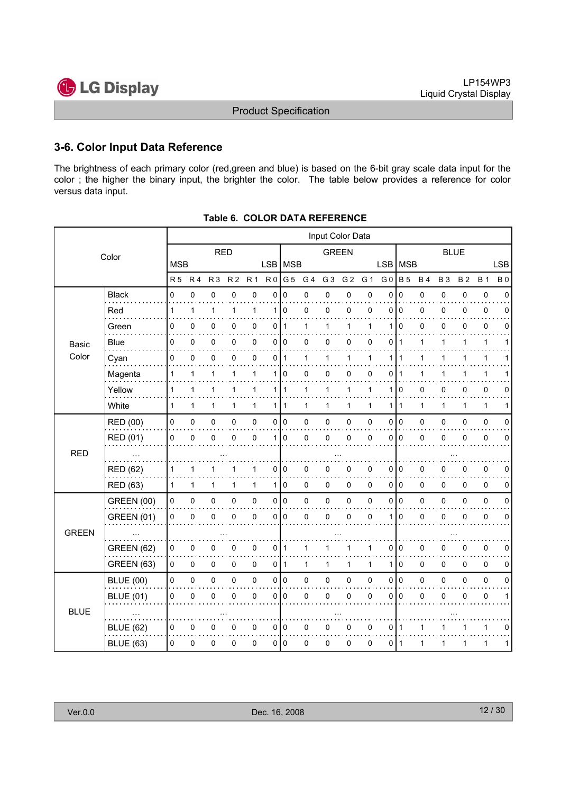

### **3-6. Color Input Data Reference**

The brightness of each primary color (red,green and blue) is based on the 6-bit gray scale data input for the color ; the higher the binary input, the brighter the color. The table below provides a reference for color versus data input.

| <b>RED</b><br><b>GREEN</b><br><b>BLUE</b><br>Color<br><b>MSB</b><br>LSB MSB<br>MSB<br><b>LSB</b><br><b>LSB</b><br>R <sub>0</sub><br>G <sub>5</sub><br>G <sub>3</sub><br>G <sub>2</sub><br>G <sub>0</sub><br><b>B</b> 5<br>R <sub>5</sub><br>R <sub>4</sub><br>R <sub>3</sub><br>R <sub>2</sub><br>R <sub>1</sub><br>G <sub>4</sub><br>G 1<br><b>B4</b><br><b>B3</b><br><b>B2</b><br><b>B</b> 1<br><b>B0</b><br>0<br>$\pmb{0}$<br>0<br>0<br><b>Black</b><br>0<br>$\pmb{0}$<br>0<br>0<br>0<br>0<br>0<br>0<br>0<br>$\mathbf 0$<br>0<br>0<br>$\pmb{0}$<br>$\mathbf 0$<br>$\mathbf{1}$<br>110<br>0<br>$\mathbf 0$<br>0<br>$\pmb{0}$<br>$\mathbf{1}$<br>1<br>1<br>1<br>0<br>0<br>$\Omega$<br>$\Omega$<br>0<br>0<br>Red<br>0<br>0<br>0<br>$\pmb{0}$<br>$\mathbf{1}$<br>0<br>0<br>0<br>$\mathbf{1}$<br>$\Omega$<br>0<br>0<br>Green<br>0<br>0<br>$\mathbf{1}$<br>1<br>1<br>1<br>0<br>0<br>0<br>$\overline{0}$<br>0<br>1<br>Blue<br>0<br>0<br>0<br>0<br>0<br>0<br>0<br>1<br>0<br>$\mathbf{1}$<br>1<br>1<br>1<br>Basic<br>Color<br>$\pmb{0}$<br>0<br>0<br>0<br>0<br>$\mathbf{1}$<br>1<br>1<br>0<br>$\mathbf{1}$<br>1<br>1<br>1<br>1<br>Cyan<br>1<br>1<br>1<br>Magenta<br>$\mathbf 0$<br>0<br>$\mathbf 0$<br>1<br>1<br>1<br>$\mathbf{1}$<br>1<br>0<br>0<br>0<br>1<br>1<br>$\mathbf 1$<br>1<br>1<br>Yellow<br>$\mathbf{1}$<br>$\mathbf{1}$<br>1<br>$\mathbf{1}$<br>111<br>$\mathbf{1}$<br>1<br>$\mathbf 0$<br>0<br>0<br>1<br>1<br>1<br>0<br>0<br>$\Omega$<br>1<br>$\mathbf{1}$<br>White<br>$\mathbf{1}$<br>$\mathbf{1}$<br>1<br>1<br>$\mathbf{1}$<br>111<br>$\mathbf{1}$<br>$\mathbf{1}$<br>1<br>1<br>$\mathbf{1}$<br>$\mathbf{1}$<br>1<br>$\mathbf{1}$<br>1<br>1<br>I٥<br><b>RED (00)</b><br>0<br>0<br>$\mathsf 0$<br>$\pmb{0}$<br>010<br>$\pmb{0}$<br>$\pmb{0}$<br>0<br>0<br>0<br>0<br>$\pmb{0}$<br>0<br>0<br>0<br>$\mathbf 0$<br>$\mathsf 0$<br>RED (01)<br>$\mathbf 0$<br>0<br>0<br>0<br>$\Omega$<br>0<br>0<br>0<br>$\mathbf 0$<br>0<br>$\mathbf 0$<br>0<br>1 <sup>1</sup><br>$\mathbf{0}$<br>$\overline{0}$<br>0<br>$\Omega$<br><b>RED</b><br>0<br><b>RED (62)</b><br>0<br>0<br>0<br>0<br>0<br>0<br>0<br>$\mathbf 0$<br>0<br>0<br>1<br>1<br>1<br>0<br>0<br>1<br>0<br>010<br>0<br><b>RED (63)</b><br>$\mathbf 1$<br>1<br>$\mathbf{1}$<br>110<br>0<br>0<br>0<br>0<br>0<br>0<br>$\mathbf{1}$<br>1<br>0<br><b>GREEN (00)</b><br>0<br>$\pmb{0}$<br>$\pmb{0}$<br>0 0<br>0<br>$\pmb{0}$<br>$\pmb{0}$<br>0<br>0<br>I٥<br>$\pmb{0}$<br>0<br>$\pmb{0}$<br>0<br>0<br>0<br>0<br>$\mathbf 0$<br>0<br>0<br>0<br>0<br>0<br>0<br>0<br>$\pmb{0}$<br>$\mathbf 0$<br>0<br>$\mathbf 0$<br>0<br>0<br><b>GREEN (01)</b><br>0<br>$\mathbf 0$<br>$\Omega$<br>1<br><b>GREEN</b><br><b>GREEN (62)</b><br>$\pmb{0}$<br>$\pmb{0}$<br>0<br>0<br>0<br>0<br>0<br>0<br>0<br>0<br>$\mathbf{1}$<br>1<br>1<br>1<br>0<br>0<br>0<br>$\pmb{0}$<br><b>GREEN (63)</b><br>0<br>0<br>$\mathbf 0$<br>0<br>0<br>$\mathbf{1}$<br>$\mathbf 0$<br>0<br>0<br>$\overline{0}$<br>1<br>1<br>1<br>1<br>0<br>0<br>1<br>0<br>0<br>$\mathsf 0$<br>$\pmb{0}$<br>0 0<br>$\pmb{0}$<br>0<br>0<br>$\overline{0}$<br>0<br>$\pmb{0}$<br><b>BLUE (00)</b><br>0<br>0<br>0<br>0<br>0<br>0<br>$\mathbf 0$<br><b>BLUE (01)</b><br>0<br>$\mathbf 0$<br>0<br>0<br>0<br>0<br>$\mathbf 0$<br>0<br>$\pmb{0}$<br>0<br>0<br>$\mathbf 0$<br>$\mathbf{0}$<br>$\overline{0}$<br>0<br>0<br><b>BLUE</b> |  |  |  |  |  | Input Color Data |  |  |  |  |
|------------------------------------------------------------------------------------------------------------------------------------------------------------------------------------------------------------------------------------------------------------------------------------------------------------------------------------------------------------------------------------------------------------------------------------------------------------------------------------------------------------------------------------------------------------------------------------------------------------------------------------------------------------------------------------------------------------------------------------------------------------------------------------------------------------------------------------------------------------------------------------------------------------------------------------------------------------------------------------------------------------------------------------------------------------------------------------------------------------------------------------------------------------------------------------------------------------------------------------------------------------------------------------------------------------------------------------------------------------------------------------------------------------------------------------------------------------------------------------------------------------------------------------------------------------------------------------------------------------------------------------------------------------------------------------------------------------------------------------------------------------------------------------------------------------------------------------------------------------------------------------------------------------------------------------------------------------------------------------------------------------------------------------------------------------------------------------------------------------------------------------------------------------------------------------------------------------------------------------------------------------------------------------------------------------------------------------------------------------------------------------------------------------------------------------------------------------------------------------------------------------------------------------------------------------------------------------------------------------------------------------------------------------------------------------------------------------------------------------------------------------------------------------------------------------------------------------------------------------------------------------------------------------------------------------------------------------------------------------------------------------------------------------------------------------------------------------------------------------------------------------------------------------------------------------------------------------------------------------------------------------------------------------------------------------------|--|--|--|--|--|------------------|--|--|--|--|
|                                                                                                                                                                                                                                                                                                                                                                                                                                                                                                                                                                                                                                                                                                                                                                                                                                                                                                                                                                                                                                                                                                                                                                                                                                                                                                                                                                                                                                                                                                                                                                                                                                                                                                                                                                                                                                                                                                                                                                                                                                                                                                                                                                                                                                                                                                                                                                                                                                                                                                                                                                                                                                                                                                                                                                                                                                                                                                                                                                                                                                                                                                                                                                                                                                                                                                                  |  |  |  |  |  |                  |  |  |  |  |
|                                                                                                                                                                                                                                                                                                                                                                                                                                                                                                                                                                                                                                                                                                                                                                                                                                                                                                                                                                                                                                                                                                                                                                                                                                                                                                                                                                                                                                                                                                                                                                                                                                                                                                                                                                                                                                                                                                                                                                                                                                                                                                                                                                                                                                                                                                                                                                                                                                                                                                                                                                                                                                                                                                                                                                                                                                                                                                                                                                                                                                                                                                                                                                                                                                                                                                                  |  |  |  |  |  |                  |  |  |  |  |
|                                                                                                                                                                                                                                                                                                                                                                                                                                                                                                                                                                                                                                                                                                                                                                                                                                                                                                                                                                                                                                                                                                                                                                                                                                                                                                                                                                                                                                                                                                                                                                                                                                                                                                                                                                                                                                                                                                                                                                                                                                                                                                                                                                                                                                                                                                                                                                                                                                                                                                                                                                                                                                                                                                                                                                                                                                                                                                                                                                                                                                                                                                                                                                                                                                                                                                                  |  |  |  |  |  |                  |  |  |  |  |
|                                                                                                                                                                                                                                                                                                                                                                                                                                                                                                                                                                                                                                                                                                                                                                                                                                                                                                                                                                                                                                                                                                                                                                                                                                                                                                                                                                                                                                                                                                                                                                                                                                                                                                                                                                                                                                                                                                                                                                                                                                                                                                                                                                                                                                                                                                                                                                                                                                                                                                                                                                                                                                                                                                                                                                                                                                                                                                                                                                                                                                                                                                                                                                                                                                                                                                                  |  |  |  |  |  |                  |  |  |  |  |
|                                                                                                                                                                                                                                                                                                                                                                                                                                                                                                                                                                                                                                                                                                                                                                                                                                                                                                                                                                                                                                                                                                                                                                                                                                                                                                                                                                                                                                                                                                                                                                                                                                                                                                                                                                                                                                                                                                                                                                                                                                                                                                                                                                                                                                                                                                                                                                                                                                                                                                                                                                                                                                                                                                                                                                                                                                                                                                                                                                                                                                                                                                                                                                                                                                                                                                                  |  |  |  |  |  |                  |  |  |  |  |
|                                                                                                                                                                                                                                                                                                                                                                                                                                                                                                                                                                                                                                                                                                                                                                                                                                                                                                                                                                                                                                                                                                                                                                                                                                                                                                                                                                                                                                                                                                                                                                                                                                                                                                                                                                                                                                                                                                                                                                                                                                                                                                                                                                                                                                                                                                                                                                                                                                                                                                                                                                                                                                                                                                                                                                                                                                                                                                                                                                                                                                                                                                                                                                                                                                                                                                                  |  |  |  |  |  |                  |  |  |  |  |
|                                                                                                                                                                                                                                                                                                                                                                                                                                                                                                                                                                                                                                                                                                                                                                                                                                                                                                                                                                                                                                                                                                                                                                                                                                                                                                                                                                                                                                                                                                                                                                                                                                                                                                                                                                                                                                                                                                                                                                                                                                                                                                                                                                                                                                                                                                                                                                                                                                                                                                                                                                                                                                                                                                                                                                                                                                                                                                                                                                                                                                                                                                                                                                                                                                                                                                                  |  |  |  |  |  |                  |  |  |  |  |
|                                                                                                                                                                                                                                                                                                                                                                                                                                                                                                                                                                                                                                                                                                                                                                                                                                                                                                                                                                                                                                                                                                                                                                                                                                                                                                                                                                                                                                                                                                                                                                                                                                                                                                                                                                                                                                                                                                                                                                                                                                                                                                                                                                                                                                                                                                                                                                                                                                                                                                                                                                                                                                                                                                                                                                                                                                                                                                                                                                                                                                                                                                                                                                                                                                                                                                                  |  |  |  |  |  |                  |  |  |  |  |
|                                                                                                                                                                                                                                                                                                                                                                                                                                                                                                                                                                                                                                                                                                                                                                                                                                                                                                                                                                                                                                                                                                                                                                                                                                                                                                                                                                                                                                                                                                                                                                                                                                                                                                                                                                                                                                                                                                                                                                                                                                                                                                                                                                                                                                                                                                                                                                                                                                                                                                                                                                                                                                                                                                                                                                                                                                                                                                                                                                                                                                                                                                                                                                                                                                                                                                                  |  |  |  |  |  |                  |  |  |  |  |
|                                                                                                                                                                                                                                                                                                                                                                                                                                                                                                                                                                                                                                                                                                                                                                                                                                                                                                                                                                                                                                                                                                                                                                                                                                                                                                                                                                                                                                                                                                                                                                                                                                                                                                                                                                                                                                                                                                                                                                                                                                                                                                                                                                                                                                                                                                                                                                                                                                                                                                                                                                                                                                                                                                                                                                                                                                                                                                                                                                                                                                                                                                                                                                                                                                                                                                                  |  |  |  |  |  |                  |  |  |  |  |
|                                                                                                                                                                                                                                                                                                                                                                                                                                                                                                                                                                                                                                                                                                                                                                                                                                                                                                                                                                                                                                                                                                                                                                                                                                                                                                                                                                                                                                                                                                                                                                                                                                                                                                                                                                                                                                                                                                                                                                                                                                                                                                                                                                                                                                                                                                                                                                                                                                                                                                                                                                                                                                                                                                                                                                                                                                                                                                                                                                                                                                                                                                                                                                                                                                                                                                                  |  |  |  |  |  |                  |  |  |  |  |
|                                                                                                                                                                                                                                                                                                                                                                                                                                                                                                                                                                                                                                                                                                                                                                                                                                                                                                                                                                                                                                                                                                                                                                                                                                                                                                                                                                                                                                                                                                                                                                                                                                                                                                                                                                                                                                                                                                                                                                                                                                                                                                                                                                                                                                                                                                                                                                                                                                                                                                                                                                                                                                                                                                                                                                                                                                                                                                                                                                                                                                                                                                                                                                                                                                                                                                                  |  |  |  |  |  |                  |  |  |  |  |
|                                                                                                                                                                                                                                                                                                                                                                                                                                                                                                                                                                                                                                                                                                                                                                                                                                                                                                                                                                                                                                                                                                                                                                                                                                                                                                                                                                                                                                                                                                                                                                                                                                                                                                                                                                                                                                                                                                                                                                                                                                                                                                                                                                                                                                                                                                                                                                                                                                                                                                                                                                                                                                                                                                                                                                                                                                                                                                                                                                                                                                                                                                                                                                                                                                                                                                                  |  |  |  |  |  |                  |  |  |  |  |
|                                                                                                                                                                                                                                                                                                                                                                                                                                                                                                                                                                                                                                                                                                                                                                                                                                                                                                                                                                                                                                                                                                                                                                                                                                                                                                                                                                                                                                                                                                                                                                                                                                                                                                                                                                                                                                                                                                                                                                                                                                                                                                                                                                                                                                                                                                                                                                                                                                                                                                                                                                                                                                                                                                                                                                                                                                                                                                                                                                                                                                                                                                                                                                                                                                                                                                                  |  |  |  |  |  |                  |  |  |  |  |
|                                                                                                                                                                                                                                                                                                                                                                                                                                                                                                                                                                                                                                                                                                                                                                                                                                                                                                                                                                                                                                                                                                                                                                                                                                                                                                                                                                                                                                                                                                                                                                                                                                                                                                                                                                                                                                                                                                                                                                                                                                                                                                                                                                                                                                                                                                                                                                                                                                                                                                                                                                                                                                                                                                                                                                                                                                                                                                                                                                                                                                                                                                                                                                                                                                                                                                                  |  |  |  |  |  |                  |  |  |  |  |
|                                                                                                                                                                                                                                                                                                                                                                                                                                                                                                                                                                                                                                                                                                                                                                                                                                                                                                                                                                                                                                                                                                                                                                                                                                                                                                                                                                                                                                                                                                                                                                                                                                                                                                                                                                                                                                                                                                                                                                                                                                                                                                                                                                                                                                                                                                                                                                                                                                                                                                                                                                                                                                                                                                                                                                                                                                                                                                                                                                                                                                                                                                                                                                                                                                                                                                                  |  |  |  |  |  |                  |  |  |  |  |
|                                                                                                                                                                                                                                                                                                                                                                                                                                                                                                                                                                                                                                                                                                                                                                                                                                                                                                                                                                                                                                                                                                                                                                                                                                                                                                                                                                                                                                                                                                                                                                                                                                                                                                                                                                                                                                                                                                                                                                                                                                                                                                                                                                                                                                                                                                                                                                                                                                                                                                                                                                                                                                                                                                                                                                                                                                                                                                                                                                                                                                                                                                                                                                                                                                                                                                                  |  |  |  |  |  |                  |  |  |  |  |
|                                                                                                                                                                                                                                                                                                                                                                                                                                                                                                                                                                                                                                                                                                                                                                                                                                                                                                                                                                                                                                                                                                                                                                                                                                                                                                                                                                                                                                                                                                                                                                                                                                                                                                                                                                                                                                                                                                                                                                                                                                                                                                                                                                                                                                                                                                                                                                                                                                                                                                                                                                                                                                                                                                                                                                                                                                                                                                                                                                                                                                                                                                                                                                                                                                                                                                                  |  |  |  |  |  |                  |  |  |  |  |
|                                                                                                                                                                                                                                                                                                                                                                                                                                                                                                                                                                                                                                                                                                                                                                                                                                                                                                                                                                                                                                                                                                                                                                                                                                                                                                                                                                                                                                                                                                                                                                                                                                                                                                                                                                                                                                                                                                                                                                                                                                                                                                                                                                                                                                                                                                                                                                                                                                                                                                                                                                                                                                                                                                                                                                                                                                                                                                                                                                                                                                                                                                                                                                                                                                                                                                                  |  |  |  |  |  |                  |  |  |  |  |
|                                                                                                                                                                                                                                                                                                                                                                                                                                                                                                                                                                                                                                                                                                                                                                                                                                                                                                                                                                                                                                                                                                                                                                                                                                                                                                                                                                                                                                                                                                                                                                                                                                                                                                                                                                                                                                                                                                                                                                                                                                                                                                                                                                                                                                                                                                                                                                                                                                                                                                                                                                                                                                                                                                                                                                                                                                                                                                                                                                                                                                                                                                                                                                                                                                                                                                                  |  |  |  |  |  |                  |  |  |  |  |
|                                                                                                                                                                                                                                                                                                                                                                                                                                                                                                                                                                                                                                                                                                                                                                                                                                                                                                                                                                                                                                                                                                                                                                                                                                                                                                                                                                                                                                                                                                                                                                                                                                                                                                                                                                                                                                                                                                                                                                                                                                                                                                                                                                                                                                                                                                                                                                                                                                                                                                                                                                                                                                                                                                                                                                                                                                                                                                                                                                                                                                                                                                                                                                                                                                                                                                                  |  |  |  |  |  |                  |  |  |  |  |
|                                                                                                                                                                                                                                                                                                                                                                                                                                                                                                                                                                                                                                                                                                                                                                                                                                                                                                                                                                                                                                                                                                                                                                                                                                                                                                                                                                                                                                                                                                                                                                                                                                                                                                                                                                                                                                                                                                                                                                                                                                                                                                                                                                                                                                                                                                                                                                                                                                                                                                                                                                                                                                                                                                                                                                                                                                                                                                                                                                                                                                                                                                                                                                                                                                                                                                                  |  |  |  |  |  |                  |  |  |  |  |
|                                                                                                                                                                                                                                                                                                                                                                                                                                                                                                                                                                                                                                                                                                                                                                                                                                                                                                                                                                                                                                                                                                                                                                                                                                                                                                                                                                                                                                                                                                                                                                                                                                                                                                                                                                                                                                                                                                                                                                                                                                                                                                                                                                                                                                                                                                                                                                                                                                                                                                                                                                                                                                                                                                                                                                                                                                                                                                                                                                                                                                                                                                                                                                                                                                                                                                                  |  |  |  |  |  |                  |  |  |  |  |
|                                                                                                                                                                                                                                                                                                                                                                                                                                                                                                                                                                                                                                                                                                                                                                                                                                                                                                                                                                                                                                                                                                                                                                                                                                                                                                                                                                                                                                                                                                                                                                                                                                                                                                                                                                                                                                                                                                                                                                                                                                                                                                                                                                                                                                                                                                                                                                                                                                                                                                                                                                                                                                                                                                                                                                                                                                                                                                                                                                                                                                                                                                                                                                                                                                                                                                                  |  |  |  |  |  |                  |  |  |  |  |
| 0<br>0<br>010<br>0<br>0<br>1<br><b>BLUE (62)</b><br>0<br>0<br>0<br>0<br>0<br>1<br>0<br>0<br>$\mathbf 1$                                                                                                                                                                                                                                                                                                                                                                                                                                                                                                                                                                                                                                                                                                                                                                                                                                                                                                                                                                                                                                                                                                                                                                                                                                                                                                                                                                                                                                                                                                                                                                                                                                                                                                                                                                                                                                                                                                                                                                                                                                                                                                                                                                                                                                                                                                                                                                                                                                                                                                                                                                                                                                                                                                                                                                                                                                                                                                                                                                                                                                                                                                                                                                                                          |  |  |  |  |  |                  |  |  |  |  |
| 0<br>$\pmb{0}$<br>0<br>0<br><b>BLUE (63)</b><br>$\Omega$<br>0<br>0 <sup>10</sup><br>0<br>0<br>0<br>0<br>1<br>1<br>l 1<br>1<br>1<br>1                                                                                                                                                                                                                                                                                                                                                                                                                                                                                                                                                                                                                                                                                                                                                                                                                                                                                                                                                                                                                                                                                                                                                                                                                                                                                                                                                                                                                                                                                                                                                                                                                                                                                                                                                                                                                                                                                                                                                                                                                                                                                                                                                                                                                                                                                                                                                                                                                                                                                                                                                                                                                                                                                                                                                                                                                                                                                                                                                                                                                                                                                                                                                                             |  |  |  |  |  |                  |  |  |  |  |

| Table 6. COLOR DATA REFERENCE |
|-------------------------------|
|-------------------------------|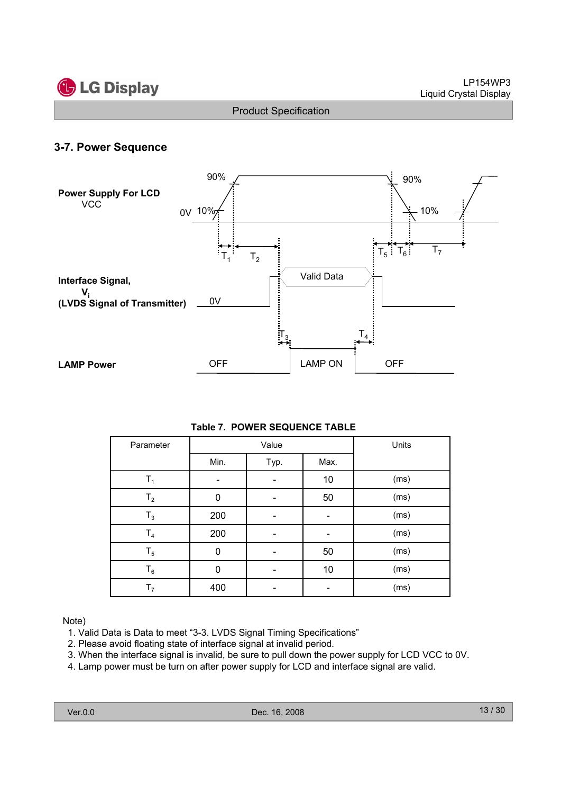

# **3-7. Power Sequence**



#### **Table 7. POWER SEQUENCE TABLE**

| Parameter      |          | Value | Units |      |
|----------------|----------|-------|-------|------|
|                | Min.     | Typ.  | Max.  |      |
| $\mathsf{T}_1$ |          |       | 10    | (ms) |
| T <sub>2</sub> | $\Omega$ |       | 50    | (ms) |
| $T_3$          | 200      |       |       | (ms) |
| T <sub>4</sub> | 200      |       |       | (ms) |
| $T_5$          | 0        |       | 50    | (ms) |
| $T_6$          | 0        |       | 10    | (ms) |
| T <sub>7</sub> | 400      |       |       | (ms) |

#### Note)

- 1. Valid Data is Data to meet "3-3. LVDS Signal Timing Specifications"
- 2. Please avoid floating state of interface signal at invalid period.
- 3. When the interface signal is invalid, be sure to pull down the power supply for LCD VCC to 0V.
- 4. Lamp power must be turn on after power supply for LCD and interface signal are valid.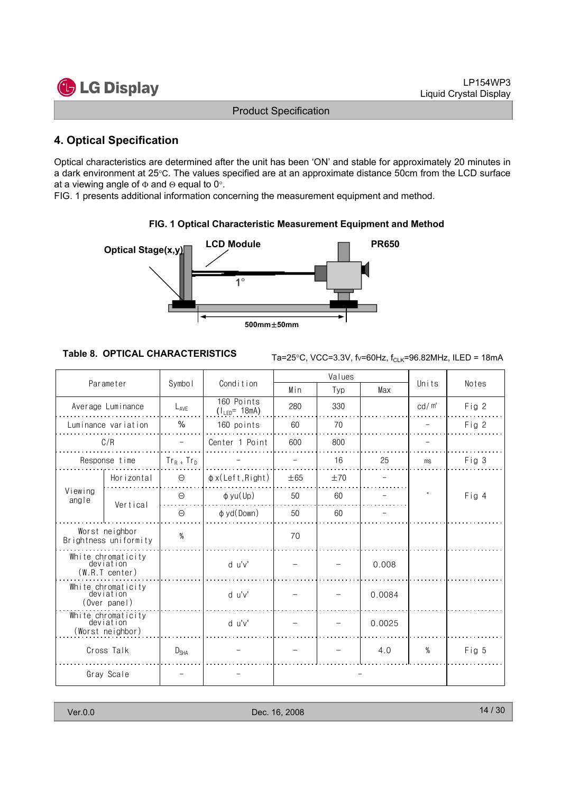

# **4. Optical Specification**

Optical characteristics are determined after the unit has been 'ON' and stable for approximately 20 minutes in a dark environment at 25°C. The values specified are at an approximate distance 50cm from the LCD surface at a viewing angle of  $\Phi$  and  $\Theta$  equal to 0°.

FIG. 1 presents additional information concerning the measurement equipment and method.



#### **FIG. 1 Optical Characteristic Measurement Equipment and Method**

**Table 8. OPTICAL CHARACTERISTICS**  $\tau_{\text{a}=25^{\circ}C}$ , VCC=3.3V, fv=60Hz, f<sub>CLK</sub>=96.82MHz, ILED = 18mA

| Parameter                                           |                                                   |                  |                                  |          | Values |        |                   |       |
|-----------------------------------------------------|---------------------------------------------------|------------------|----------------------------------|----------|--------|--------|-------------------|-------|
|                                                     |                                                   | Symbol           | Condition                        | Min      | Typ    | Max    | Units             | Notes |
|                                                     | Average Luminance                                 | $L_{AVF}$        | 160 Points<br>$(1_{LED} = 18mA)$ | 280      | 330    |        | cd/m <sup>2</sup> | Fig 2 |
|                                                     | Luminance variation                               | $\%$             | 160 points                       | 60       | 70     |        |                   | Fig 2 |
|                                                     | C/R                                               |                  | Center 1 Point                   | 600      | 800    |        |                   |       |
|                                                     | Response time                                     | $Tr_R$ + $Tr_D$  |                                  |          | 16     | 25     | ms                | Fig 3 |
|                                                     | Horizontal                                        | $\Theta$         | $\phi$ x(Left, Right)            | $\pm 65$ | ±70    |        |                   |       |
| Viewing<br>angle                                    | Vertical                                          | $\Theta$         | $\phi$ yu(Up)                    | 50       | 60     |        |                   | Fig 4 |
|                                                     |                                                   | $\Theta$         | $\phi$ yd(Down)                  | 50       | 60     |        |                   |       |
| Worst neighbor<br>Brightness uniformity             |                                                   | $\%$             |                                  | 70       |        |        |                   |       |
|                                                     | White chromaticity<br>deviation<br>(W.R.T center) |                  | d u'v'                           |          |        | 0.008  |                   |       |
| White chromaticity<br>deviation<br>(Over panel)     |                                                   |                  | d u'v'                           |          |        | 0.0084 |                   |       |
| White chromaticity<br>deviation<br>(Worst neighbor) |                                                   |                  | d u'v'                           |          |        | 0.0025 |                   |       |
|                                                     | Cross Talk                                        | $D_{\text{SHA}}$ |                                  |          |        | 4.0    | $\%$              | Fig 5 |
| Gray Scale                                          |                                                   |                  |                                  |          |        |        |                   |       |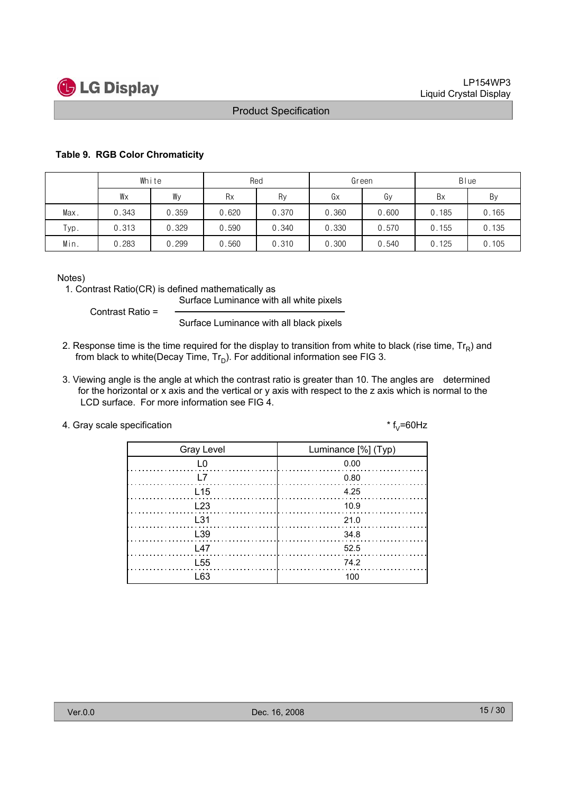

#### **Table 9. RGB Color Chromaticity**

|      | White |       | Red       |       |       | Green | <b>B</b> lue |       |  |
|------|-------|-------|-----------|-------|-------|-------|--------------|-------|--|
|      | Wx    | Wy    | <b>Rx</b> | Ry    | Gх    | Gy    | Bx           | By    |  |
| Max. | 0.343 | 0.359 | 0.620     | 0.370 | 0.360 | 0.600 | 0.185        | 0.165 |  |
| Typ. | 0.313 | 0.329 | 0.590     | 0.340 | 0.330 | 0.570 | 0.155        | 0.135 |  |
| Min. | 0.283 | 0.299 | 0.560     | 0.310 | 0.300 | 0.540 | 0.125        | 0.105 |  |

Notes)

1. Contrast Ratio(CR) is defined mathematically as

Surface Luminance with all white pixels

Contrast Ratio =

Surface Luminance with all black pixels

- 2. Response time is the time required for the display to transition from white to black (rise time,  $Tr_R$ ) and from black to white(Decay Time,  $Tr_D$ ). For additional information see FIG 3.
- 3. Viewing angle is the angle at which the contrast ratio is greater than 10. The angles are determined for the horizontal or x axis and the vertical or y axis with respect to the z axis which is normal to the LCD surface. For more information see FIG 4.

| 4. Gray scale specification | * f.,=60Hz |
|-----------------------------|------------|
|-----------------------------|------------|

| <b>Gray Level</b> | Luminance [%] (Typ)         |
|-------------------|-----------------------------|
| L0                | 0.00                        |
| <b>L7</b>         | 0.80                        |
| L <sub>15</sub>   | 4.25                        |
| L23               |                             |
| L31               | $\ldots \ldots \ldots 21.0$ |
| L39               | - 34.8                      |
| L <sub>47</sub>   | 52.5                        |
| L <sub>55</sub>   | 74.2                        |
| l 63              | 100                         |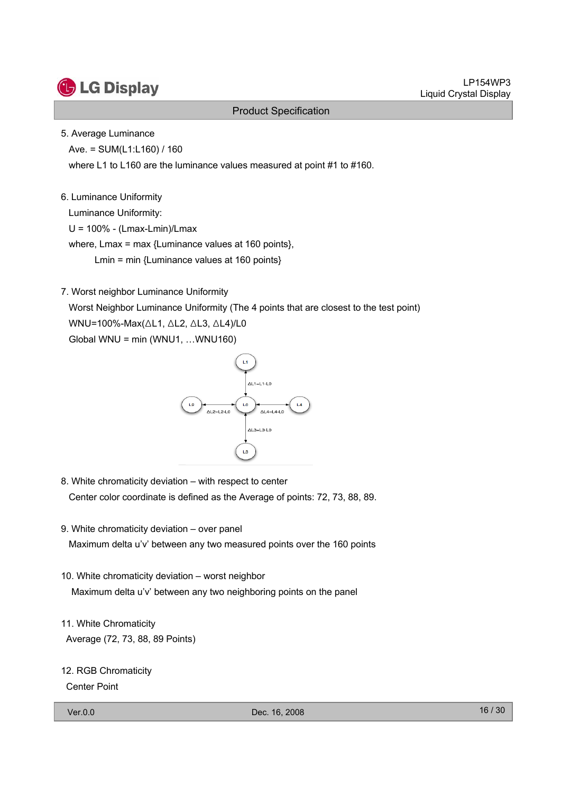

#### 5. Average Luminance

Ave. = SUM(L1:L160) / 160

where L1 to L160 are the luminance values measured at point #1 to #160.

#### 6. Luminance Uniformity

Luminance Uniformity:

U = 100% - (Lmax-Lmin)/Lmax

where, Lmax = max {Luminance values at 160 points},

Lmin = min {Luminance values at 160 points}

7. Worst neighbor Luminance Uniformity

Worst Neighbor Luminance Uniformity (The 4 points that are closest to the test point) WNU=100%-Max(△L1, △L2, △L3, △L4)/L0 Global WNU = min (WNU1, …WNU160)



- 8. White chromaticity deviation with respect to center Center color coordinate is defined as the Average of points: 72, 73, 88, 89.
- 9. White chromaticity deviation over panel Maximum delta u'v' between any two measured points over the 160 points
- 10. White chromaticity deviation worst neighbor Maximum delta u'v' between any two neighboring points on the panel
- 11. White Chromaticity Average (72, 73, 88, 89 Points)

| 12. RGB Chromaticity |
|----------------------|
| <b>Center Point</b>  |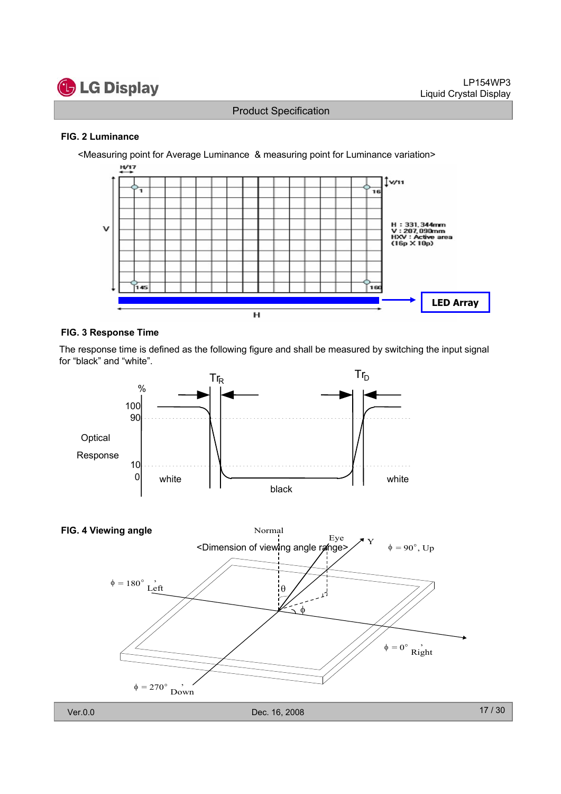

#### **FIG. 2 Luminance**



#### **FIG. 3 Response Time**

The response time is defined as the following figure and shall be measured by switching the input signal for "black" and "white".



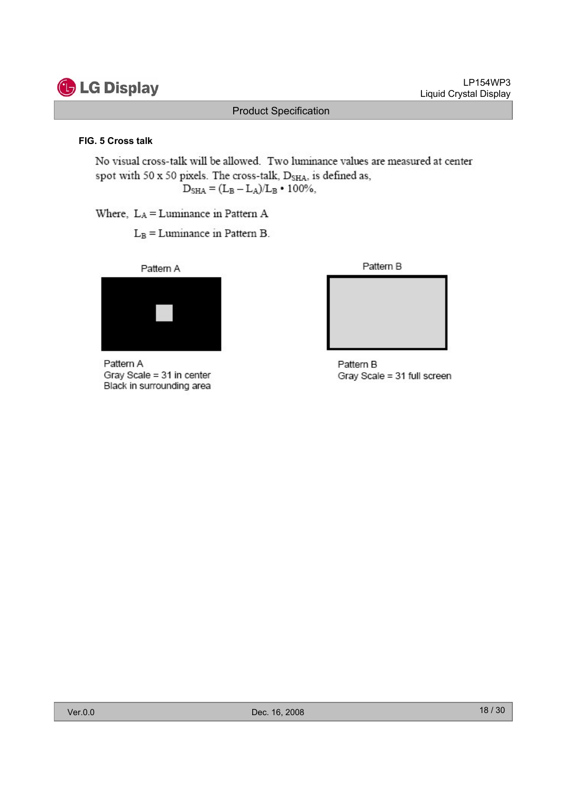

LP154WP3 Liquid Crystal Display

#### Product Specification

#### **FIG. 5 Cross talk**

No visual cross-talk will be allowed. Two luminance values are measured at center spot with 50 x 50 pixels. The cross-talk, D<sub>SHA</sub>, is defined as,  $D_{\rm SHA} = (L_{\rm B} - L_{\rm A})/L_{\rm B} \cdot 100\%,$ 

Where, LA = Luminance in Pattern A

 $L_B =$ Luminance in Pattern B.



Pattern A Gray Scale = 31 in center Black in surrounding area



```
Pattern B
Gray Scale = 31 full screen
```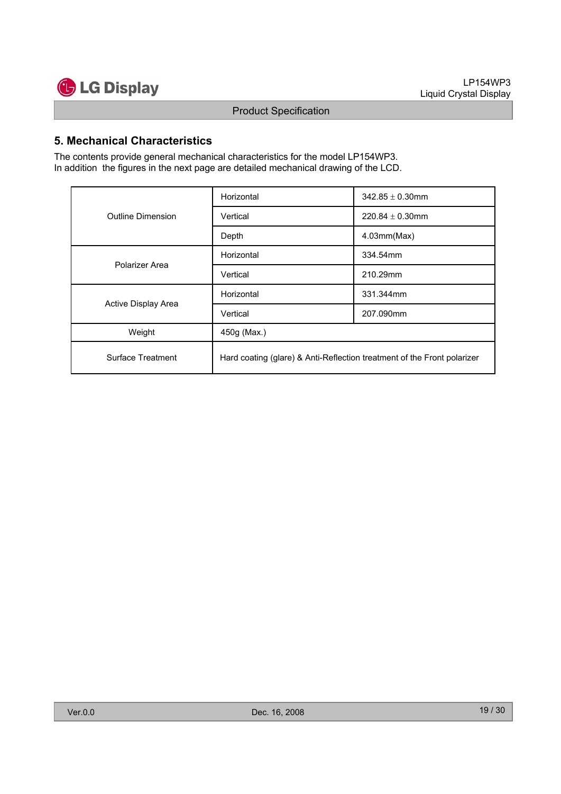

### **5. Mechanical Characteristics**

The contents provide general mechanical characteristics for the model LP154WP3. In addition the figures in the next page are detailed mechanical drawing of the LCD.

|                     | Horizontal                                                              | $342.85 \pm 0.30$ mm |  |  |
|---------------------|-------------------------------------------------------------------------|----------------------|--|--|
| Outline Dimension   | Vertical                                                                | $220.84 \pm 0.30$ mm |  |  |
|                     | Depth                                                                   | 4.03mm(Max)          |  |  |
| Polarizer Area      | Horizontal                                                              | 334.54mm             |  |  |
|                     | Vertical                                                                | 210.29mm             |  |  |
|                     | Horizontal                                                              | 331.344mm            |  |  |
| Active Display Area | Vertical                                                                | 207.090mm            |  |  |
| Weight              | 450g (Max.)                                                             |                      |  |  |
| Surface Treatment   | Hard coating (glare) & Anti-Reflection treatment of the Front polarizer |                      |  |  |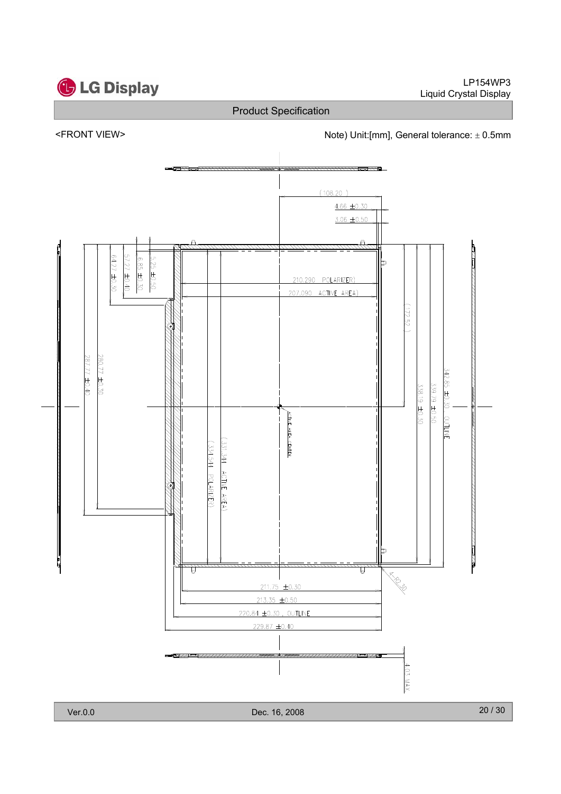

LP154WP3 Liquid Crystal Display

# Product Specification



<FRONT VIEW>  $\blacksquare$  Note) Unit:[mm], General tolerance:  $\pm$  0.5mm

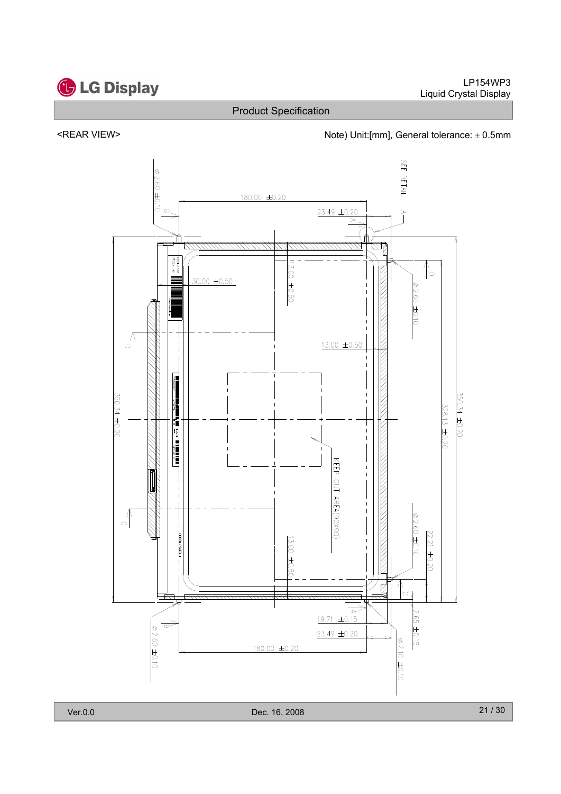

#### <REAR VIEW> <next and the Unit:[mm], General tolerance:  $\pm$  0.5mm

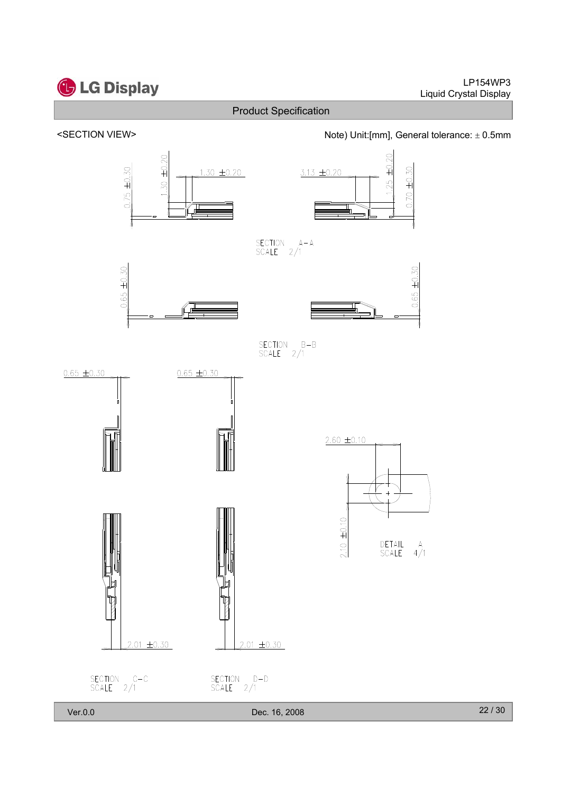![](_page_21_Figure_0.jpeg)

# **C** LG Display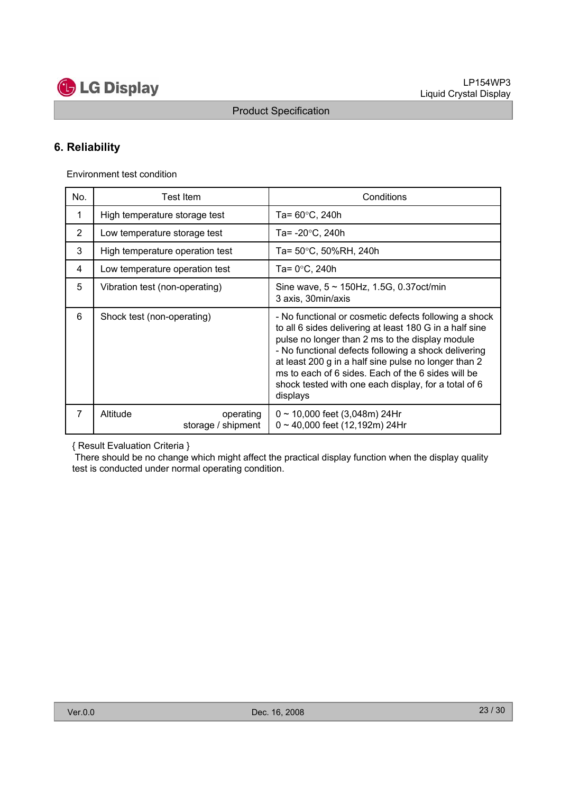![](_page_22_Picture_0.jpeg)

# **6. Reliability**

Environment test condition

| No.            | Test Item                                   | Conditions                                                                                                                                                                                                                                                                                                                                                                                                    |
|----------------|---------------------------------------------|---------------------------------------------------------------------------------------------------------------------------------------------------------------------------------------------------------------------------------------------------------------------------------------------------------------------------------------------------------------------------------------------------------------|
| 1              | High temperature storage test               | Ta= $60^{\circ}$ C, 240h                                                                                                                                                                                                                                                                                                                                                                                      |
| 2              | Low temperature storage test                | Ta= -20°C, 240h                                                                                                                                                                                                                                                                                                                                                                                               |
| 3              | High temperature operation test             | Ta= 50°C, 50%RH, 240h                                                                                                                                                                                                                                                                                                                                                                                         |
| 4              | Low temperature operation test              | Ta= 0°C, 240h                                                                                                                                                                                                                                                                                                                                                                                                 |
| 5              | Vibration test (non-operating)              | Sine wave, $5 \sim 150$ Hz, 1.5G, 0.37 oct/min<br>3 axis, 30min/axis                                                                                                                                                                                                                                                                                                                                          |
| 6              | Shock test (non-operating)                  | - No functional or cosmetic defects following a shock<br>to all 6 sides delivering at least 180 G in a half sine<br>pulse no longer than 2 ms to the display module<br>- No functional defects following a shock delivering<br>at least 200 g in a half sine pulse no longer than 2<br>ms to each of 6 sides. Each of the 6 sides will be<br>shock tested with one each display, for a total of 6<br>displays |
| $\overline{7}$ | Altitude<br>operating<br>storage / shipment | $0 \sim 10,000$ feet (3,048m) 24Hr<br>$0 \sim 40,000$ feet (12,192m) 24Hr                                                                                                                                                                                                                                                                                                                                     |

{ Result Evaluation Criteria }

There should be no change which might affect the practical display function when the display quality test is conducted under normal operating condition.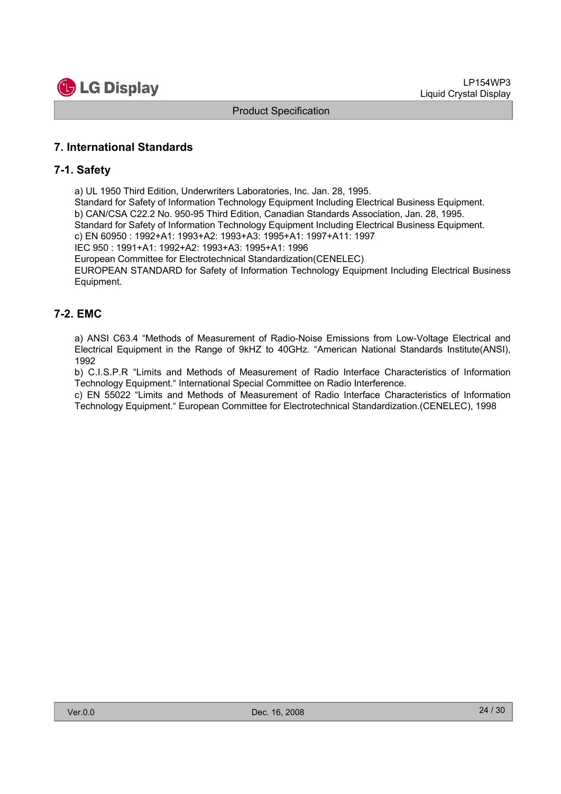![](_page_23_Picture_1.jpeg)

# **7. International Standards**

#### **7-1. Safety**

a) UL 1950 Third Edition, Underwriters Laboratories, Inc. Jan. 28, 1995.

Standard for Safety of Information Technology Equipment Including Electrical Business Equipment. b) CAN/CSA C22.2 No. 950-95 Third Edition, Canadian Standards Association, Jan. 28, 1995. Standard for Safety of Information Technology Equipment Including Electrical Business Equipment. c) EN 60950 : 1992+A1: 1993+A2: 1993+A3: 1995+A1: 1997+A11: 1997

IEC 950 : 1991+A1: 1992+A2: 1993+A3: 1995+A1: 1996

European Committee for Electrotechnical Standardization(CENELEC)

EUROPEAN STANDARD for Safety of Information Technology Equipment Including Electrical Business Equipment.

# **7-2. EMC**

a) ANSI C63.4 "Methods of Measurement of Radio-Noise Emissions from Low-Voltage Electrical and Electrical Equipment in the Range of 9kHZ to 40GHz. "American National Standards Institute(ANSI), 1992

b) C.I.S.P.R "Limits and Methods of Measurement of Radio Interface Characteristics of Information Technology Equipment." International Special Committee on Radio Interference.

c) EN 55022 "Limits and Methods of Measurement of Radio Interface Characteristics of Information Technology Equipment." European Committee for Electrotechnical Standardization.(CENELEC), 1998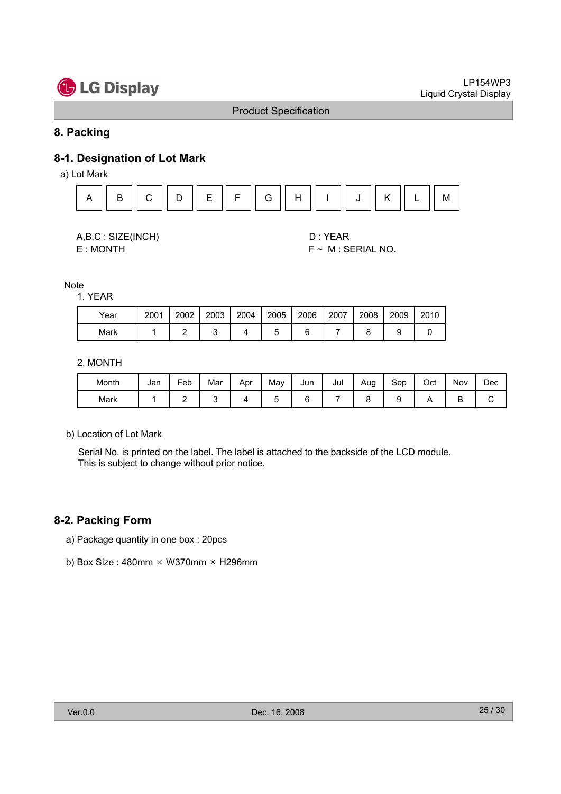# **G** LG Display

#### Product Specification

### **8. Packing**

# **8-1. Designation of Lot Mark**

a) Lot Mark

![](_page_24_Figure_6.jpeg)

![](_page_24_Figure_7.jpeg)

E : MONTH F ~ M : SERIAL NO.

**Note** 

1. YEAR

| Year | 2001 | 2002 | 2003 | 2004 | 2005 | 2006 | 2007 | 2008 | 2009 | 2010 |
|------|------|------|------|------|------|------|------|------|------|------|
| Mark |      |      |      |      | ۰.   |      |      |      |      |      |

2. MONTH

| Month | Jan | Fe <sub>b</sub> | Mar | Apr | May | Jun | Jul | Aug | Sep | Oct | Nov | Dec |
|-------|-----|-----------------|-----|-----|-----|-----|-----|-----|-----|-----|-----|-----|
| Mark  |     | -               |     |     |     |     |     |     |     |     | ⋍   |     |

b) Location of Lot Mark

Serial No. is printed on the label. The label is attached to the backside of the LCD module. This is subject to change without prior notice.

#### **8-2. Packing Form**

- a) Package quantity in one box : 20pcs
- b) Box Size:  $480$ mm × W370mm × H296mm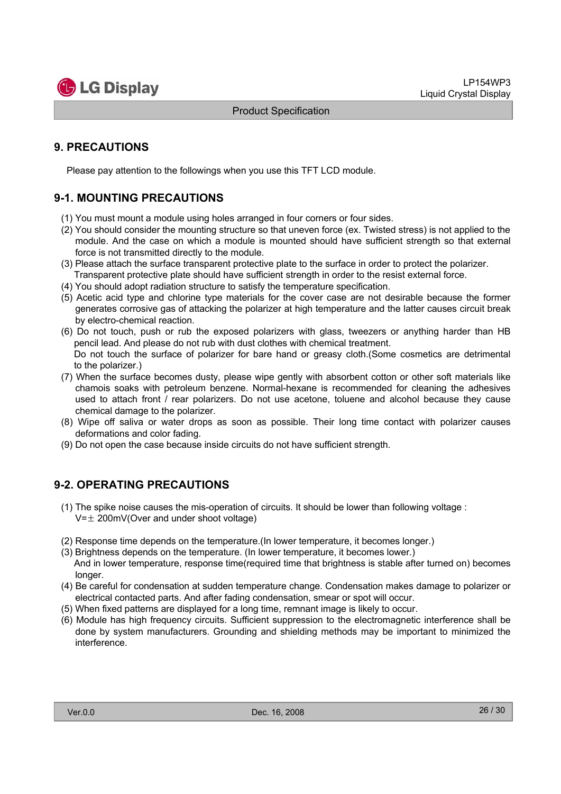![](_page_25_Picture_1.jpeg)

# **9. PRECAUTIONS**

Please pay attention to the followings when you use this TFT LCD module.

# **9-1. MOUNTING PRECAUTIONS**

- (1) You must mount a module using holes arranged in four corners or four sides.
- (2) You should consider the mounting structure so that uneven force (ex. Twisted stress) is not applied to the module. And the case on which a module is mounted should have sufficient strength so that external force is not transmitted directly to the module.
- (3) Please attach the surface transparent protective plate to the surface in order to protect the polarizer. Transparent protective plate should have sufficient strength in order to the resist external force.
- (4) You should adopt radiation structure to satisfy the temperature specification.
- (5) Acetic acid type and chlorine type materials for the cover case are not desirable because the former generates corrosive gas of attacking the polarizer at high temperature and the latter causes circuit break by electro-chemical reaction.
- (6) Do not touch, push or rub the exposed polarizers with glass, tweezers or anything harder than HB pencil lead. And please do not rub with dust clothes with chemical treatment. Do not touch the surface of polarizer for bare hand or greasy cloth.(Some cosmetics are detrimental to the polarizer.)
- (7) When the surface becomes dusty, please wipe gently with absorbent cotton or other soft materials like chamois soaks with petroleum benzene. Normal-hexane is recommended for cleaning the adhesives used to attach front / rear polarizers. Do not use acetone, toluene and alcohol because they cause chemical damage to the polarizer.
- (8) Wipe off saliva or water drops as soon as possible. Their long time contact with polarizer causes deformations and color fading.
- (9) Do not open the case because inside circuits do not have sufficient strength.

# **9-2. OPERATING PRECAUTIONS**

- (1) The spike noise causes the mis-operation of circuits. It should be lower than following voltage :  $V=\pm 200$ mV(Over and under shoot voltage)
- (2) Response time depends on the temperature.(In lower temperature, it becomes longer.)
- (3) Brightness depends on the temperature. (In lower temperature, it becomes lower.) And in lower temperature, response time(required time that brightness is stable after turned on) becomes longer.
- (4) Be careful for condensation at sudden temperature change. Condensation makes damage to polarizer or electrical contacted parts. And after fading condensation, smear or spot will occur.
- (5) When fixed patterns are displayed for a long time, remnant image is likely to occur.
- (6) Module has high frequency circuits. Sufficient suppression to the electromagnetic interference shall be done by system manufacturers. Grounding and shielding methods may be important to minimized the interference.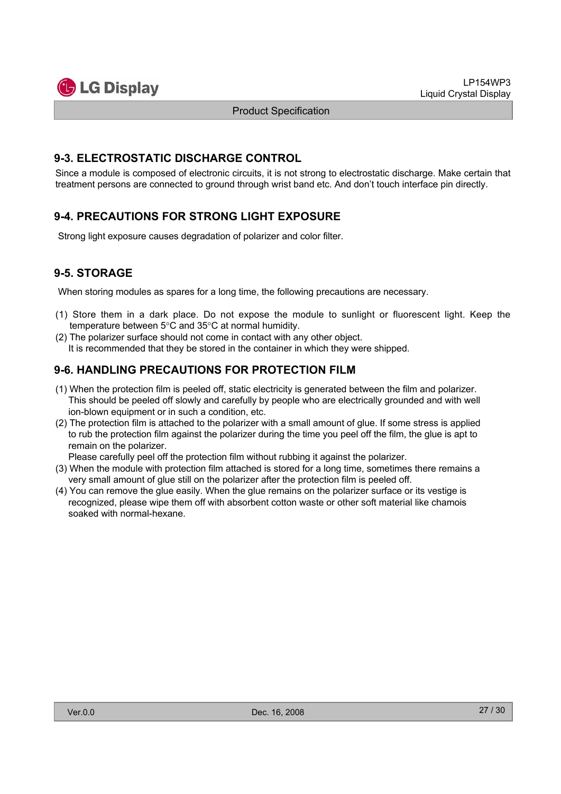![](_page_26_Picture_1.jpeg)

### **9-3. ELECTROSTATIC DISCHARGE CONTROL**

Since a module is composed of electronic circuits, it is not strong to electrostatic discharge. Make certain that treatment persons are connected to ground through wrist band etc. And don't touch interface pin directly.

# **9-4. PRECAUTIONS FOR STRONG LIGHT EXPOSURE**

Strong light exposure causes degradation of polarizer and color filter.

# **9-5. STORAGE**

When storing modules as spares for a long time, the following precautions are necessary.

- (1) Store them in a dark place. Do not expose the module to sunlight or fluorescent light. Keep the temperature between  $5^{\circ}$ C and  $35^{\circ}$ C at normal humidity.
- (2) The polarizer surface should not come in contact with any other object. It is recommended that they be stored in the container in which they were shipped.

# **9-6. HANDLING PRECAUTIONS FOR PROTECTION FILM**

- (1) When the protection film is peeled off, static electricity is generated between the film and polarizer. This should be peeled off slowly and carefully by people who are electrically grounded and with well ion-blown equipment or in such a condition, etc.
- (2) The protection film is attached to the polarizer with a small amount of glue. If some stress is applied to rub the protection film against the polarizer during the time you peel off the film, the glue is apt to remain on the polarizer.

Please carefully peel off the protection film without rubbing it against the polarizer.

- (3) When the module with protection film attached is stored for a long time, sometimes there remains a very small amount of glue still on the polarizer after the protection film is peeled off.
- (4) You can remove the glue easily. When the glue remains on the polarizer surface or its vestige is recognized, please wipe them off with absorbent cotton waste or other soft material like chamois soaked with normal-hexane.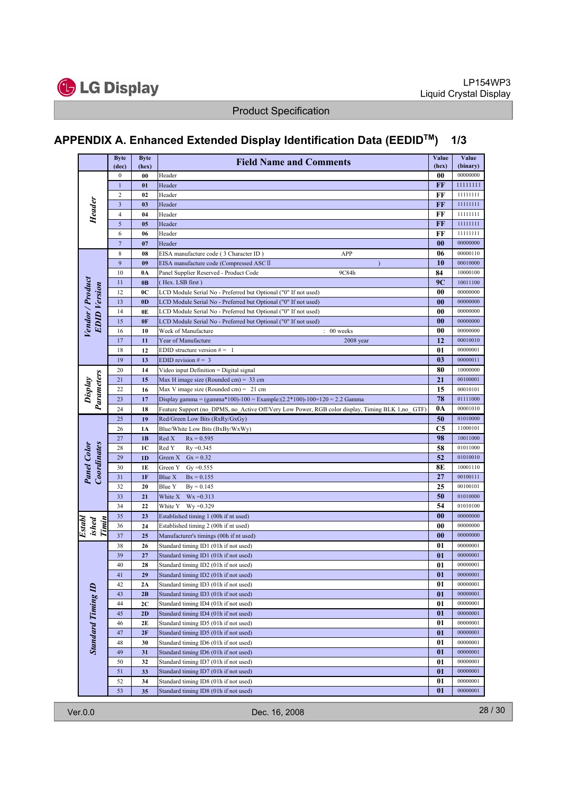![](_page_27_Picture_0.jpeg)

# **APPENDIX A. Enhanced Extended Display Identification Data (EEDIDTM) 1/3**

|                                   | <b>Byte</b><br>(dec)    | <b>Byte</b><br>(hex) | <b>Field Name and Comments</b>                                                                  | Value<br>(hex) | Value<br>(binary) |
|-----------------------------------|-------------------------|----------------------|-------------------------------------------------------------------------------------------------|----------------|-------------------|
|                                   | $\boldsymbol{0}$        | 00                   | Header                                                                                          | 00             | 00000000          |
|                                   | $\mathbf{1}$            | 01                   | Header                                                                                          | FF             | 11111111          |
|                                   | 2                       | 02                   | Header                                                                                          | FF             | 11111111          |
|                                   | $\overline{\mathbf{3}}$ | 0 <sub>3</sub>       | Header                                                                                          | FF             | 11111111          |
| Header                            | 4                       | 04                   | Header                                                                                          | FF             | 11111111          |
|                                   | 5                       | 05                   | Header                                                                                          | FF             | 11111111          |
|                                   | 6                       | 06                   | Header                                                                                          | FF             | 11111111          |
|                                   | $\overline{7}$          | 07                   | Header                                                                                          | $\bf{00}$      | 00000000          |
|                                   | 8                       | 08                   | APP<br>EISA manufacture code (3 Character ID)                                                   | 06             | 00000110          |
|                                   | 9                       | 09                   | EISA manufacture code (Compressed ASC II                                                        | 10             | 00010000          |
|                                   | 10                      | 0A                   | 9C84h<br>Panel Supplier Reserved - Product Code                                                 | 84             | 10000100          |
|                                   | 11                      | 0B                   | (Hex. LSB first)                                                                                | 9C             | 10011100          |
|                                   | 12                      | 0C                   | LCD Module Serial No - Preferred but Optional ("0" If not used)                                 | 00             | 00000000          |
|                                   | 13                      | 0 <sub>D</sub>       | LCD Module Serial No - Preferred but Optional ("0" If not used)                                 | 0 <sub>0</sub> | 00000000          |
|                                   | 14                      | 0E                   | LCD Module Serial No - Preferred but Optional ("0" If not used)                                 | 00             | 00000000          |
| <b>EDID</b> Version               | 15                      | 0F                   | LCD Module Serial No - Preferred but Optional ("0" If not used)                                 | $\bf{00}$      | 00000000          |
| Vendor / Product                  | 16                      | 10                   | 00 weeks<br>Week of Manufacture                                                                 | 00             | 00000000          |
|                                   | 17                      | 11                   | Year of Manufacture<br>$2008$ year                                                              | 12             | 00010010          |
|                                   | 18                      | 12                   | EDID structure version $# = 1$                                                                  | 01             | 00000001          |
|                                   | 19                      | 13                   | EDID revision $# = 3$                                                                           | 0 <sub>3</sub> | 00000011          |
|                                   | 20                      | 14                   | Video input Definition = Digital signal                                                         | 80             | 10000000          |
| Parameters                        | 21                      | 15                   | Max H image size (Rounded cm) = $33$ cm                                                         | 21             | 00100001          |
| Display                           | 22                      | 16                   | Max V image size (Rounded cm) = $21$ cm                                                         | 15             | 00010101          |
|                                   | 23                      | 17                   | Display gamma = (gamma*100)-100 = Example: $(2.2*100)$ -100=120 = 2.2 Gamma                     | 78             | 01111000          |
|                                   | 24                      | 18                   | Feature Support (no DPMS, no Active Off/Very Low Power, RGB color display, Timing BLK 1,no GTF) | 0A             | 00001010          |
|                                   | 25                      | 19                   | Red/Green Low Bits (RxRy/GxGy)                                                                  | 50             | 01010000          |
|                                   | 26                      | 1A                   | Blue/White Low Bits (BxBy/WxWy)                                                                 | C5             | 11000101          |
|                                   | 27                      | 1B                   | Red X<br>$Rx = 0.595$                                                                           | 98             | 10011000          |
|                                   | 28                      | 1C                   | Red Y<br>$Ry = 0.345$                                                                           | 58             | 01011000          |
| <b>Panel Color</b><br>Coordinates | 29                      | 1D                   | $Gx = 0.32$<br>Green X                                                                          | 52             | 01010010          |
|                                   | 30                      | 1E                   | Green Y<br>$Gy = 0.555$                                                                         | 8E             | 10001110          |
|                                   | 31                      | 1F                   | Blue X<br>$Bx = 0.155$                                                                          | 27             | 00100111          |
|                                   | 32                      | 20                   | Blue Y<br>$By = 0.145$                                                                          | 25             | 00100101          |
|                                   | 33                      | 21                   | White X<br>$Wx = 0.313$                                                                         | 50             | 01010000          |
|                                   | 34                      | 22                   | White Y<br>$Wy = 0.329$                                                                         | 54             | 01010100          |
|                                   | 35                      | 23                   | Established timing 1 (00h if nt used)                                                           | 00             | 00000000          |
| Timin<br>Establ<br>ished          | 36                      | 24                   | Established timing 2 (00h if nt used)                                                           | 00             | 00000000          |
|                                   | 37                      | 25                   | Manufacturer's timings (00h if nt used)                                                         | $\bf{00}$      | 00000000          |
|                                   | 38                      | 26                   | Standard timing ID1 (01h if not used)                                                           | 01             | 00000001          |
|                                   | 39                      | 27                   | Standard timing ID1 (01h if not used)                                                           | 01             | 00000001          |
|                                   | 40                      | 28                   | Standard timing ID2 (01h if not used)                                                           | 01             | 00000001          |
|                                   | $41\,$                  | 29                   | Standard timing ID2 (01h if not used)                                                           | 01             | 00000001          |
|                                   | 42                      | 2A                   | Standard timing ID3 (01h if not used)                                                           | 01             | 00000001          |
|                                   | 43                      | 2B                   | Standard timing ID3 (01h if not used)                                                           | 01             | 00000001          |
|                                   | 44                      | 2C                   | Standard timing ID4 (01h if not used)                                                           | 01             | 00000001          |
|                                   | 45                      | 2D                   | Standard timing ID4 (01h if not used)                                                           | 01             | 00000001          |
|                                   | 46                      | 2E                   | Standard timing ID5 (01h if not used)                                                           | 01             | 00000001          |
|                                   | 47                      | 2F                   | Standard timing ID5 (01h if not used)                                                           | 01             | 00000001          |
| <b>Standard Timing ID</b>         | 48                      | 30                   | Standard timing ID6 (01h if not used)                                                           | 01             | 00000001          |
|                                   | 49                      | 31                   | Standard timing ID6 (01h if not used)                                                           | 01             | 00000001          |
|                                   | 50                      | 32                   | Standard timing ID7 (01h if not used)                                                           | 01             | 00000001          |
|                                   | 51                      | 33                   | Standard timing ID7 (01h if not used)                                                           | 01             | 00000001          |
|                                   | 52                      | 34                   | Standard timing ID8 (01h if not used)                                                           | 01             | 00000001          |
|                                   | 53                      | 35                   | Standard timing ID8 (01h if not used)                                                           | 01             | 00000001          |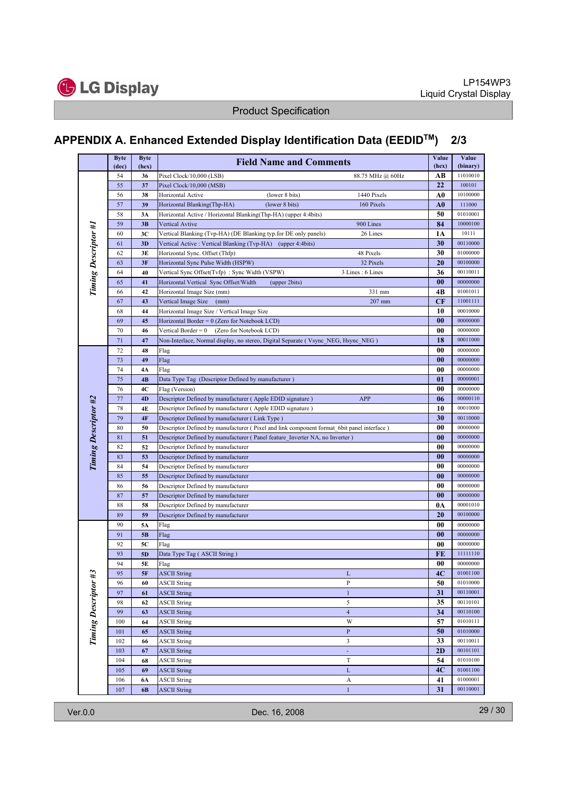![](_page_28_Picture_0.jpeg)

# **APPENDIX A. Enhanced Extended Display Identification Data (EEDIDTM) 2/3**

|                      | <b>Byte</b><br>(dec) | <b>Byte</b><br>(hex) | <b>Field Name and Comments</b>                                                            | Value<br>(hex)   | Value<br>(binary) |                      |
|----------------------|----------------------|----------------------|-------------------------------------------------------------------------------------------|------------------|-------------------|----------------------|
|                      | 54                   | 36                   | Pixel Clock/10,000 (LSB)                                                                  | 88.75 MHz @ 60Hz | AВ                | 11010010             |
|                      | 55                   | 37                   | Pixel Clock/10,000 (MSB)                                                                  |                  | 22                | 100101               |
|                      | 56                   | 38                   | (lower 8 bits)<br>Horizontal Active                                                       | 1440 Pixels      | A <sub>0</sub>    | 10100000             |
|                      | 57                   | 39                   | Horizontal Blanking(Thp-HA)<br>(lower 8 bits)                                             | 160 Pixels       | A0                | 111000               |
|                      | 58                   | 3A                   | Horizontal Active / Horizontal Blanking(Thp-HA) (upper 4:4bits)                           |                  | 50                | 01010001             |
| Timing Descriptor #1 | 59                   | 3B                   | Vertical Avtive                                                                           | 900 Lines        | 84                | 10000100             |
|                      | 60                   | 3C                   | Vertical Blanking (Tvp-HA) (DE Blanking typ.for DE only panels)                           | 26 Lines         | 1A                | 10111                |
|                      | 61                   | 3D                   | Vertical Active : Vertical Blanking (Tvp-HA) (upper 4:4bits)                              |                  | 30                | 00110000             |
|                      | 62                   | 3E                   | Horizontal Sync. Offset (Thfp)                                                            | 48 Pixels        | 30                | 01000000             |
|                      | 63                   | 3F                   | Horizontal Sync Pulse Width (HSPW)                                                        | 32 Pixels        | 20                | 00100000             |
|                      | 64                   | 40                   | Vertical Sync Offset(Tvfp): Sync Width (VSPW)                                             | 3 Lines: 6 Lines | 36                | 00110011             |
|                      | 65                   | 41                   | Horizontal Vertical Sync Offset/Width<br>(upper 2bits)                                    |                  | 00                | 00000000             |
|                      | 66                   | 42                   | Horizontal Image Size (mm)                                                                | 331 mm           | 4Β                | 01001011             |
|                      | 67                   | 43                   | Vertical Image Size<br>(mm)                                                               | $207$ mm         | CF                | 11001111             |
|                      | 68                   | 44                   | Horizontal Image Size / Vertical Image Size                                               |                  | 10                | 00010000             |
|                      | 69                   | 45                   | Horizontal Border = $0$ (Zero for Notebook LCD)                                           |                  | 00                | 00000000             |
|                      | 70                   | 46                   | Vertical Border = 0<br>(Zero for Notebook LCD)                                            |                  | 00                | 00000000             |
|                      | 71                   | 47                   | Non-Interlace, Normal display, no stereo, Digital Separate (Vsync NEG, Hsync NEG)         |                  | 18                | 00011000             |
|                      | 72                   | 48                   | Flag                                                                                      |                  | 00                | 00000000             |
|                      | 73                   | 49                   | Flag                                                                                      |                  | $\bf{00}$         | 00000000             |
|                      | 74                   | 4Α                   | Flag                                                                                      |                  | 00                | 00000000             |
|                      | 75                   | 4B                   | Data Type Tag (Descriptor Defined by manufacturer)                                        |                  | 01                | 00000001             |
|                      | 76                   | 4C                   | Flag (Version)                                                                            |                  | 00                | 00000000             |
|                      | 77                   | 4D                   | Descriptor Defined by manufacturer (Apple EDID signature)                                 | <b>APP</b>       | 06                | 00000110             |
|                      | 78                   | 4E                   | Descriptor Defined by manufacturer (Apple EDID signature)                                 |                  | 10                | 00010000             |
| Timing Descriptor #2 | 79                   | 4F                   | Descriptor Defined by manufacturer (Link Type)                                            |                  | 30                | 00110000             |
|                      | 80                   | 50<br>51             | Descriptor Defined by manufacturer (Pixel and link component format 6bit panel interface) |                  | 00                | 00000000<br>00000000 |
|                      | 81<br>82             | 52                   | Descriptor Defined by manufacturer (Panel feature Inverter NA, no Inverter)               |                  | $\bf{00}$<br>00   | 00000000             |
|                      | 83                   | 53                   | Descriptor Defined by manufacturer<br>Descriptor Defined by manufacturer                  |                  | 00                | 00000000             |
|                      | 84                   | 54                   | Descriptor Defined by manufacturer                                                        |                  | 00                | 00000000             |
|                      | 85                   | 55                   | Descriptor Defined by manufacturer                                                        |                  | $\bf{00}$         | 00000000             |
|                      | 86                   | 56                   | Descriptor Defined by manufacturer                                                        |                  | 00                | 00000000             |
|                      | 87                   | 57                   | Descriptor Defined by manufacturer                                                        |                  | $\bf{00}$         | 00000000             |
|                      | 88                   | 58                   | Descriptor Defined by manufacturer                                                        |                  | 0A                | 00001010             |
|                      | 89                   | 59                   | Descriptor Defined by manufacturer                                                        |                  | 20                | 00100000             |
|                      | 90                   | 5Α                   | Flag                                                                                      |                  | 00                | 00000000             |
|                      | 91                   | 5B                   | Flag                                                                                      |                  | 00                | 00000000             |
|                      | 92                   | 5С                   | Flag                                                                                      |                  | 00                | 00000000             |
|                      | 93                   | 5 <sub>D</sub>       | Data Type Tag (ASCII String)                                                              |                  | FE                | 11111110             |
|                      | 94                   | 5E                   | Flag                                                                                      |                  | 00                | 00000000             |
|                      | 95                   | 5F                   | <b>ASCII String</b>                                                                       | L                | 4C                | 01001100             |
|                      | 96                   | 60                   | <b>ASCII String</b>                                                                       | P                | 50                | 01010000             |
|                      | 97                   | 61                   | <b>ASCII String</b>                                                                       | $\mathbf{1}$     | 31                | 00110001             |
|                      | 98                   | 62                   | <b>ASCII String</b>                                                                       | 5                | 35                | 00110101             |
|                      | 99                   | 63                   | <b>ASCII String</b>                                                                       | $\overline{4}$   | 34                | 00110100             |
|                      | 100                  | 64                   | ASCII String                                                                              | W                | 57                | 01010111             |
| Timing Descriptor #3 | 101                  | 65                   | <b>ASCII String</b>                                                                       | $\, {\bf P}$     | 50                | 01010000             |
|                      | 102                  | 66                   | <b>ASCII String</b>                                                                       | 3                | 33                | 00110011             |
|                      | 103                  | 67                   | <b>ASCII String</b>                                                                       |                  | 2D                | 00101101             |
|                      | 104                  | 68                   | <b>ASCII String</b>                                                                       | $\mathbf T$      | 54                | 01010100             |
|                      | 105                  | 69                   | <b>ASCII String</b>                                                                       | $\mathbf L$      | 4C                | 01001100             |
|                      | 106                  | 6A                   | <b>ASCII String</b>                                                                       | A                | 41                | 01000001             |
|                      | 107                  | 6 <b>B</b>           | <b>ASCII String</b>                                                                       | $\mathbf{1}$     | 31                | 00110001             |